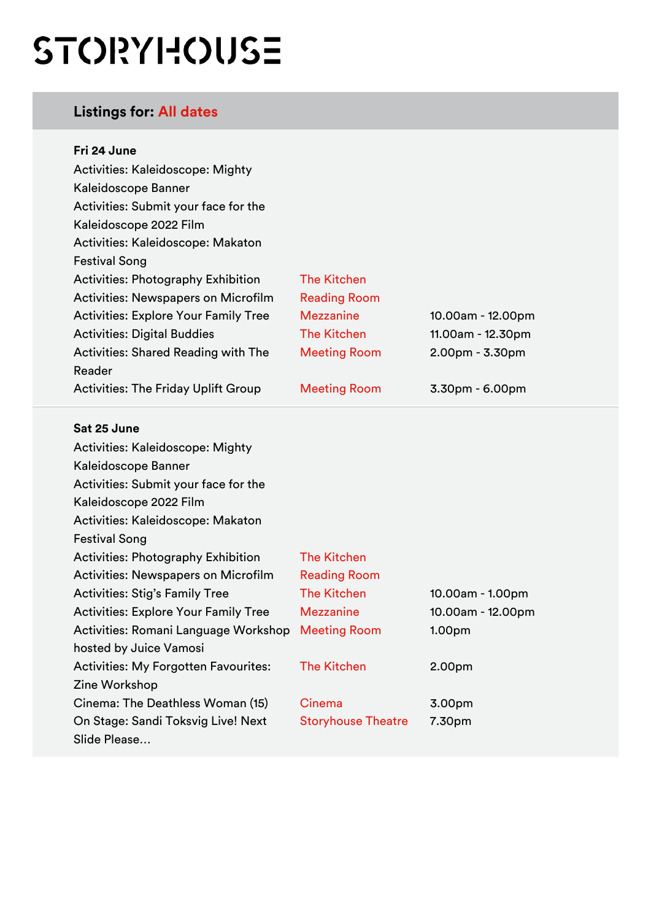# STORYHOUSE

# **Listings for: All dates**

| Fri 24 June                                       |                           |                   |
|---------------------------------------------------|---------------------------|-------------------|
| Activities: Kaleidoscope: Mighty                  |                           |                   |
| Kaleidoscope Banner                               |                           |                   |
| Activities: Submit your face for the              |                           |                   |
| Kaleidoscope 2022 Film                            |                           |                   |
| Activities: Kaleidoscope: Makaton                 |                           |                   |
| <b>Festival Song</b>                              |                           |                   |
| <b>Activities: Photography Exhibition</b>         | <b>The Kitchen</b>        |                   |
| <b>Activities: Newspapers on Microfilm</b>        | <b>Reading Room</b>       |                   |
| <b>Activities: Explore Your Family Tree</b>       | <b>Mezzanine</b>          | 10.00am - 12.00pm |
| <b>Activities: Digital Buddies</b>                | <b>The Kitchen</b>        | 11.00am - 12.30pm |
| <b>Activities: Shared Reading with The</b>        | <b>Meeting Room</b>       | 2.00pm - 3.30pm   |
| Reader                                            |                           |                   |
| <b>Activities: The Friday Uplift Group</b>        | <b>Meeting Room</b>       | 3.30pm - 6.00pm   |
| Sat 25 June                                       |                           |                   |
| Activities: Kaleidoscope: Mighty                  |                           |                   |
| Kaleidoscope Banner                               |                           |                   |
| Activities: Submit your face for the              |                           |                   |
| Kaleidoscope 2022 Film                            |                           |                   |
| Activities: Kaleidoscope: Makaton                 |                           |                   |
| <b>Festival Song</b>                              |                           |                   |
| <b>Activities: Photography Exhibition</b>         | <b>The Kitchen</b>        |                   |
| <b>Activities: Newspapers on Microfilm</b>        | <b>Reading Room</b>       |                   |
| <b>Activities: Stig's Family Tree</b>             | <b>The Kitchen</b>        | 10.00am - 1.00pm  |
| <b>Activities: Explore Your Family Tree</b>       | <b>Mezzanine</b>          | 10.00am - 12.00pm |
| Activities: Romani Language Workshop Meeting Room |                           | 1.00pm            |
| hosted by Juice Vamosi                            |                           |                   |
|                                                   |                           |                   |
| <b>Activities: My Forgotten Favourites:</b>       | <b>The Kitchen</b>        | 2.00pm            |
| Zine Workshop                                     |                           |                   |
| Cinema: The Deathless Woman (15)                  | Cinema                    | 3.00pm            |
| On Stage: Sandi Toksvig Live! Next                | <b>Storyhouse Theatre</b> | 7.30pm            |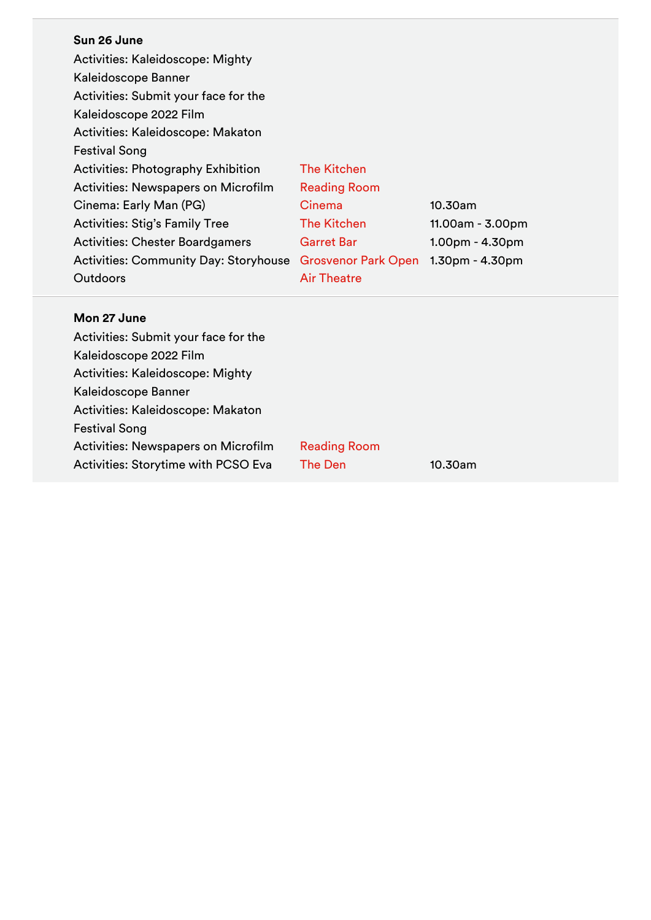#### **Sun 26 June**

Activities: Kaleidoscope: Mighty Kaleidoscope Banner Activities: Submit your face for the Kaleidoscope 2022 Film Activities: Kaleidoscope: Makaton Festival Song Activities: Photography Exhibition The Kitchen Activities: Newspapers on Microfilm Reading Room Cinema: Early Man (PG) Cinema 10.30am Activities: Stig's Family Tree The Kitchen 11.00am - 3.00pm Activities: Chester Boardgamers Garret Bar 1.00pm - 4.30pm Activities: Community Day: Storyhouse Grosvenor Park Open 1.30pm - 4.30pm **Outdoors** Air Theatre

#### **Mon 27 June**

| Activities: Submit your face for the       |                     |            |
|--------------------------------------------|---------------------|------------|
| Kaleidoscope 2022 Film                     |                     |            |
| <b>Activities: Kaleidoscope: Mighty</b>    |                     |            |
| Kaleidoscope Banner                        |                     |            |
| Activities: Kaleidoscope: Makaton          |                     |            |
| <b>Festival Song</b>                       |                     |            |
| <b>Activities: Newspapers on Microfilm</b> | <b>Reading Room</b> |            |
| <b>Activities: Storytime with PCSO Eva</b> | The Den             | $10.30$ am |
|                                            |                     |            |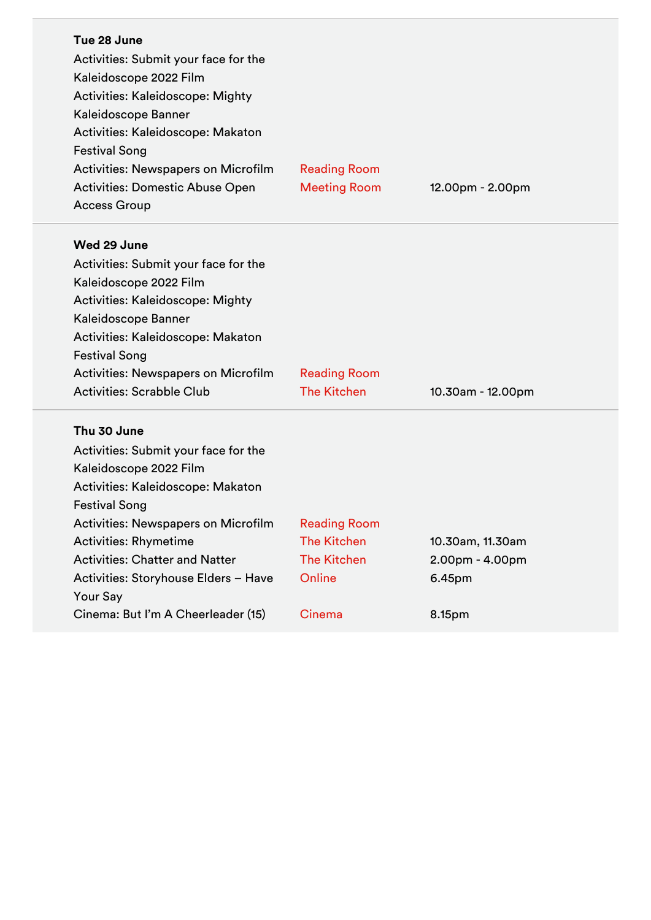| Tue 28 June<br>Activities: Submit your face for the<br>Kaleidoscope 2022 Film<br>Activities: Kaleidoscope: Mighty<br>Kaleidoscope Banner<br>Activities: Kaleidoscope: Makaton<br><b>Festival Song</b><br><b>Activities: Newspapers on Microfilm</b><br><b>Activities: Domestic Abuse Open</b><br><b>Access Group</b>                                        | <b>Reading Room</b><br><b>Meeting Room</b>                                          | 12.00pm - 2.00pm                                        |
|-------------------------------------------------------------------------------------------------------------------------------------------------------------------------------------------------------------------------------------------------------------------------------------------------------------------------------------------------------------|-------------------------------------------------------------------------------------|---------------------------------------------------------|
| Wed 29 June<br>Activities: Submit your face for the<br>Kaleidoscope 2022 Film<br>Activities: Kaleidoscope: Mighty<br>Kaleidoscope Banner<br>Activities: Kaleidoscope: Makaton<br><b>Festival Song</b><br>Activities: Newspapers on Microfilm<br><b>Activities: Scrabble Club</b>                                                                            | <b>Reading Room</b><br><b>The Kitchen</b>                                           | 10.30am - 12.00pm                                       |
| Thu 30 June<br>Activities: Submit your face for the<br>Kaleidoscope 2022 Film<br>Activities: Kaleidoscope: Makaton<br><b>Festival Song</b><br>Activities: Newspapers on Microfilm<br><b>Activities: Rhymetime</b><br><b>Activities: Chatter and Natter</b><br>Activities: Storyhouse Elders - Have<br><b>Your Say</b><br>Cinema: But I'm A Cheerleader (15) | <b>Reading Room</b><br><b>The Kitchen</b><br><b>The Kitchen</b><br>Online<br>Cinema | 10.30am, 11.30am<br>2.00pm - 4.00pm<br>6.45pm<br>8.15pm |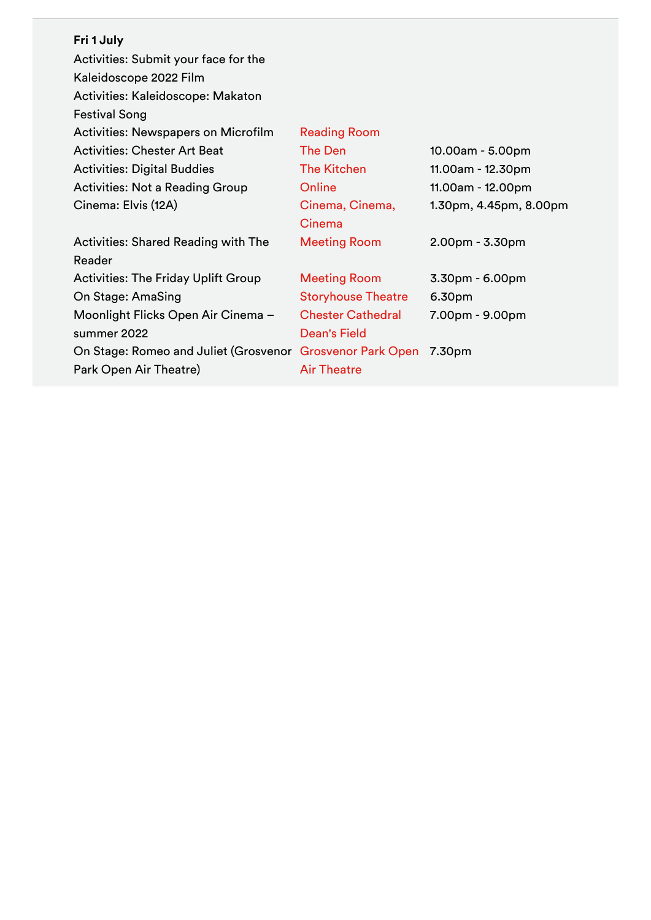| Fri 1 July |  |
|------------|--|
|------------|--|

| <b>Reading Room</b>        |                        |
|----------------------------|------------------------|
| The Den                    | 10.00am - 5.00pm       |
| <b>The Kitchen</b>         | 11.00am - 12.30pm      |
| Online                     | 11.00am - 12.00pm      |
| Cinema, Cinema,            | 1.30pm, 4.45pm, 8.00pm |
| Cinema                     |                        |
| <b>Meeting Room</b>        | $2.00pm - 3.30pm$      |
|                            |                        |
| <b>Meeting Room</b>        | 3.30pm - 6.00pm        |
| <b>Storyhouse Theatre</b>  | 6.30pm                 |
| <b>Chester Cathedral</b>   | 7.00pm - 9.00pm        |
| <b>Dean's Field</b>        |                        |
| <b>Grosvenor Park Open</b> | 7.30pm                 |
| <b>Air Theatre</b>         |                        |
|                            |                        |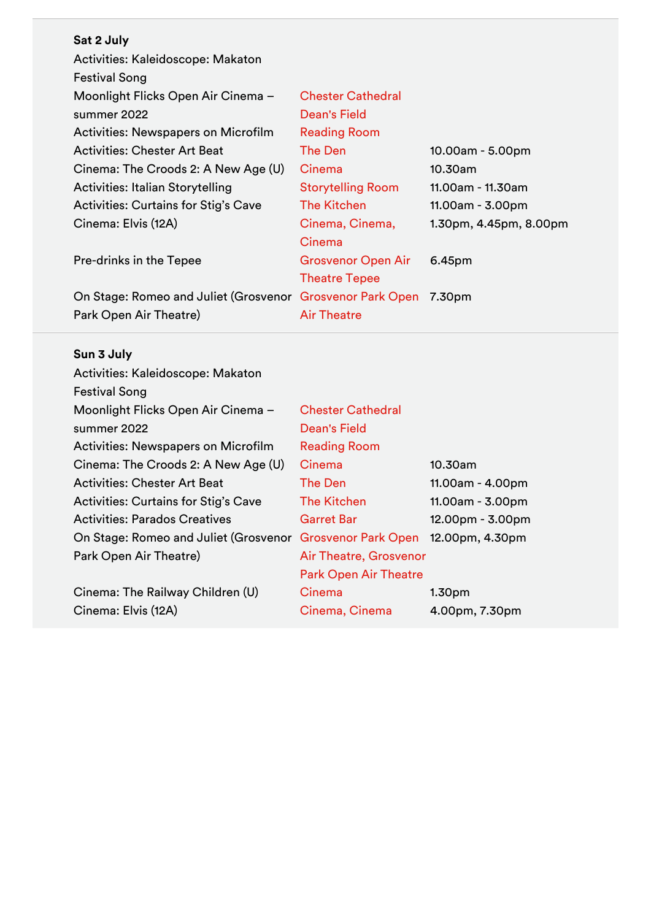| <b>Chester Cathedral</b>                                  |                        |
|-----------------------------------------------------------|------------------------|
| <b>Dean's Field</b>                                       |                        |
| <b>Reading Room</b>                                       |                        |
| The Den                                                   | 10.00am - 5.00pm       |
| Cinema                                                    | 10.30am                |
| <b>Storytelling Room</b>                                  | 11.00am - 11.30am      |
| The Kitchen                                               | 11.00am - 3.00pm       |
| Cinema, Cinema,                                           | 1.30pm, 4.45pm, 8.00pm |
| Cinema                                                    |                        |
| <b>Grosvenor Open Air</b>                                 | 6.45pm                 |
| <b>Theatre Tepee</b>                                      |                        |
| On Stage: Romeo and Juliet (Grosvenor Grosvenor Park Open | 7.30pm                 |
| <b>Air Theatre</b>                                        |                        |
|                                                           |                        |

# **Sun 3 July**

| <b>Chester Cathedral</b>     |                        |
|------------------------------|------------------------|
| Dean's Field                 |                        |
| <b>Reading Room</b>          |                        |
| Cinema                       | 10.30am                |
| The Den                      | 11.00am - 4.00pm       |
| The Kitchen                  | $11.00am - 3.00pm$     |
| <b>Garret Bar</b>            | $12.00pm - 3.00pm$     |
| <b>Grosvenor Park Open</b>   | 12.00pm, 4.30pm        |
|                              |                        |
| <b>Park Open Air Theatre</b> |                        |
| Cinema                       | 1.30 <sub>pm</sub>     |
| Cinema, Cinema               | 4.00pm, 7.30pm         |
|                              | Air Theatre, Grosvenor |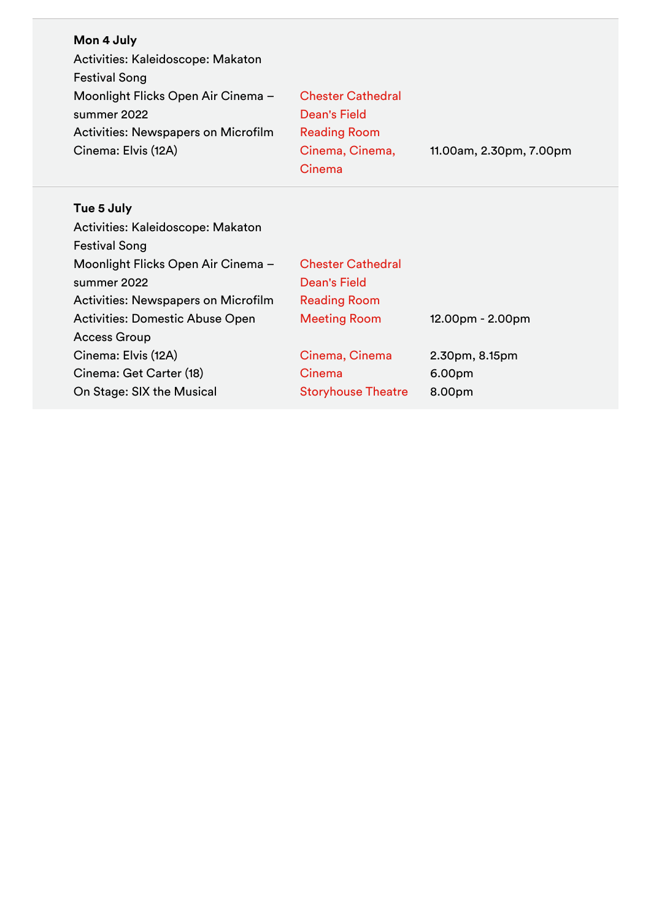| Mon 4 July<br>Activities: Kaleidoscope: Makaton<br><b>Festival Song</b><br>Moonlight Flicks Open Air Cinema -<br>summer 2022<br><b>Activities: Newspapers on Microfilm</b><br>Cinema: Elvis (12A) | <b>Chester Cathedral</b><br><b>Dean's Field</b><br><b>Reading Room</b><br>Cinema, Cinema,<br>Cinema | 11.00am, 2.30pm, 7.00pm |
|---------------------------------------------------------------------------------------------------------------------------------------------------------------------------------------------------|-----------------------------------------------------------------------------------------------------|-------------------------|
| Tue 5 July                                                                                                                                                                                        |                                                                                                     |                         |
| Activities: Kaleidoscope: Makaton                                                                                                                                                                 |                                                                                                     |                         |
| <b>Festival Song</b>                                                                                                                                                                              |                                                                                                     |                         |
| Moonlight Flicks Open Air Cinema -                                                                                                                                                                | <b>Chester Cathedral</b>                                                                            |                         |
| summer 2022                                                                                                                                                                                       | Dean's Field                                                                                        |                         |
| Activities: Newspapers on Microfilm                                                                                                                                                               | <b>Reading Room</b>                                                                                 |                         |
| <b>Activities: Domestic Abuse Open</b>                                                                                                                                                            | <b>Meeting Room</b>                                                                                 | 12.00pm - 2.00pm        |
| <b>Access Group</b>                                                                                                                                                                               |                                                                                                     |                         |
| Cinema: Elvis (12A)                                                                                                                                                                               | Cinema, Cinema                                                                                      | 2.30pm, 8.15pm          |
| Cinema: Get Carter (18)                                                                                                                                                                           | Cinema                                                                                              | 6.00pm                  |
| On Stage: SIX the Musical                                                                                                                                                                         | <b>Storyhouse Theatre</b>                                                                           | 8.00pm                  |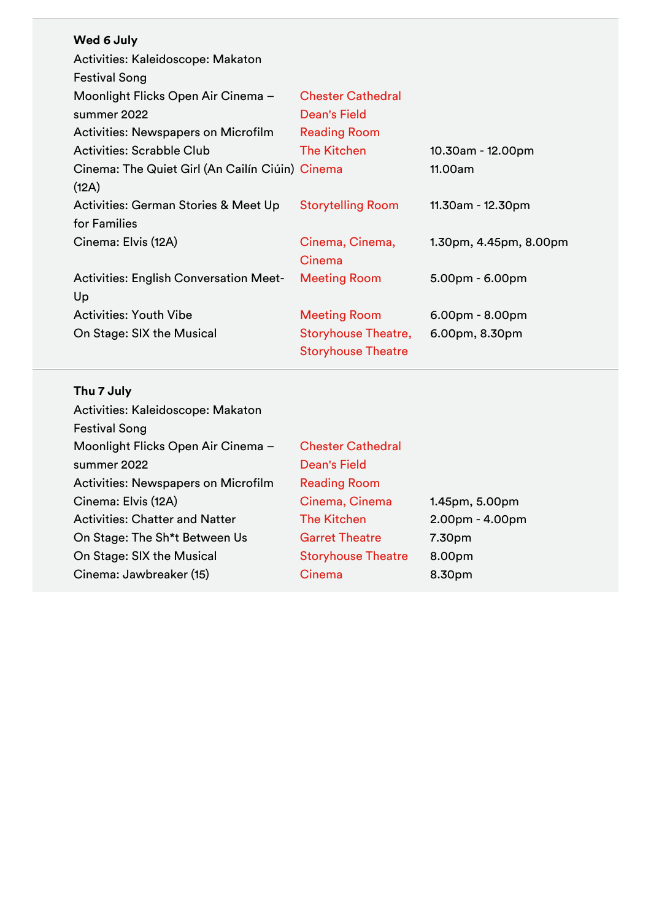| Wed 6 July                                      |                            |                        |
|-------------------------------------------------|----------------------------|------------------------|
| Activities: Kaleidoscope: Makaton               |                            |                        |
| <b>Festival Song</b>                            |                            |                        |
| Moonlight Flicks Open Air Cinema -              | <b>Chester Cathedral</b>   |                        |
| summer 2022                                     | <b>Dean's Field</b>        |                        |
| <b>Activities: Newspapers on Microfilm</b>      | <b>Reading Room</b>        |                        |
| <b>Activities: Scrabble Club</b>                | <b>The Kitchen</b>         | 10.30am - 12.00pm      |
| Cinema: The Quiet Girl (An Cailín Ciúin) Cinema |                            | 11.00am                |
| (12A)                                           |                            |                        |
| Activities: German Stories & Meet Up            | <b>Storytelling Room</b>   | 11.30am - 12.30pm      |
| for Families                                    |                            |                        |
| Cinema: Elvis (12A)                             | Cinema, Cinema,            | 1.30pm, 4.45pm, 8.00pm |
|                                                 | Cinema                     |                        |
| <b>Activities: English Conversation Meet-</b>   | <b>Meeting Room</b>        | $5.00pm - 6.00pm$      |
| Up                                              |                            |                        |
| <b>Activities: Youth Vibe</b>                   | <b>Meeting Room</b>        | $6.00pm - 8.00pm$      |
| On Stage: SIX the Musical                       | <b>Storyhouse Theatre,</b> | 6.00pm, 8.30pm         |
|                                                 | <b>Storyhouse Theatre</b>  |                        |

# **Thu 7 July**

| Activities: Kaleidoscope: Makaton          |                           |                   |
|--------------------------------------------|---------------------------|-------------------|
| <b>Festival Song</b>                       |                           |                   |
| Moonlight Flicks Open Air Cinema -         | <b>Chester Cathedral</b>  |                   |
| summer 2022                                | Dean's Field              |                   |
| <b>Activities: Newspapers on Microfilm</b> | <b>Reading Room</b>       |                   |
| Cinema: Elvis (12A)                        | Cinema, Cinema            | 1.45pm, 5.00pm    |
| <b>Activities: Chatter and Natter</b>      | <b>The Kitchen</b>        | $2.00pm - 4.00pm$ |
| On Stage: The Sh <sup>*</sup> t Between Us | <b>Garret Theatre</b>     | 7.30pm            |
| On Stage: SIX the Musical                  | <b>Storyhouse Theatre</b> | 8.00pm            |
| Cinema: Jawbreaker (15)                    | Cinema                    | 8.30pm            |
|                                            |                           |                   |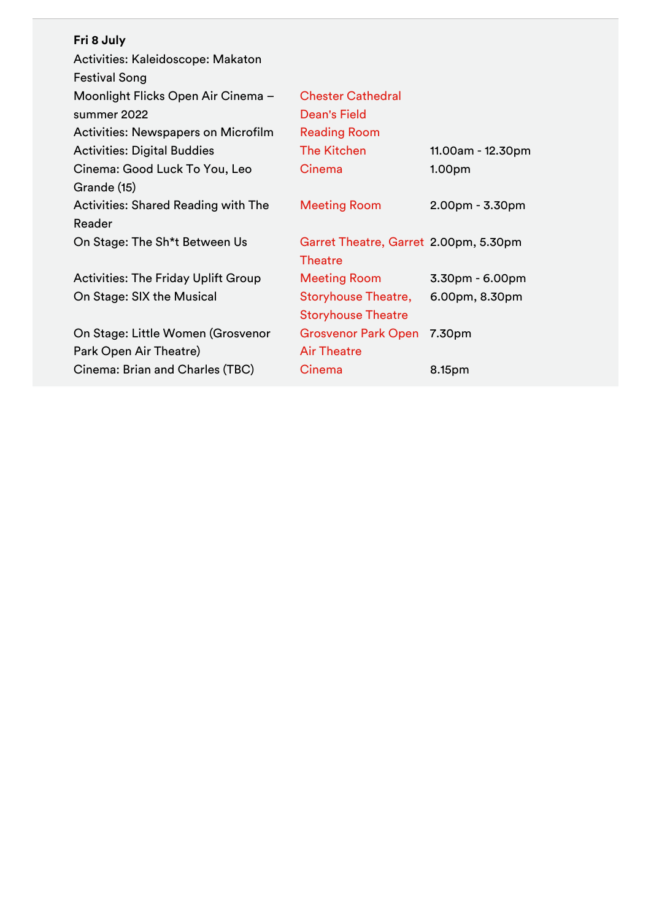| <b>Chester Cathedral</b>   |                                       |
|----------------------------|---------------------------------------|
| Dean's Field               |                                       |
| <b>Reading Room</b>        |                                       |
| <b>The Kitchen</b>         | 11.00am - 12.30pm                     |
| Cinema                     | 1.00 <sub>pm</sub>                    |
|                            |                                       |
| <b>Meeting Room</b>        | $2.00pm - 3.30pm$                     |
|                            |                                       |
|                            |                                       |
| <b>Theatre</b>             |                                       |
| <b>Meeting Room</b>        | $3.30pm - 6.00pm$                     |
| <b>Storyhouse Theatre,</b> | 6.00pm, 8.30pm                        |
| <b>Storyhouse Theatre</b>  |                                       |
| <b>Grosvenor Park Open</b> | 7.30pm                                |
| <b>Air Theatre</b>         |                                       |
| Cinema                     | 8.15pm                                |
|                            | Garret Theatre, Garret 2.00pm, 5.30pm |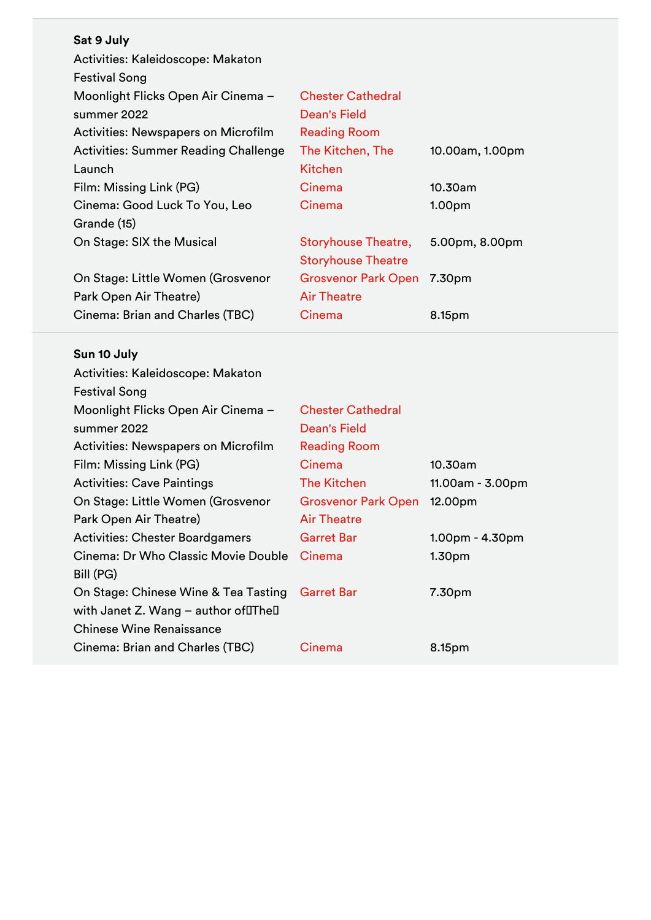| Sat 9 July                                  |                            |                    |
|---------------------------------------------|----------------------------|--------------------|
| Activities: Kaleidoscope: Makaton           |                            |                    |
| <b>Festival Song</b>                        |                            |                    |
| Moonlight Flicks Open Air Cinema -          | <b>Chester Cathedral</b>   |                    |
| summer 2022                                 | Dean's Field               |                    |
| Activities: Newspapers on Microfilm         | <b>Reading Room</b>        |                    |
| <b>Activities: Summer Reading Challenge</b> | The Kitchen, The           | 10.00am, 1.00pm    |
| Launch                                      | <b>Kitchen</b>             |                    |
| Film: Missing Link (PG)                     | Cinema                     | 10.30am            |
| Cinema: Good Luck To You, Leo               | Cinema                     | 1.00 <sub>pm</sub> |
| Grande (15)                                 |                            |                    |
| On Stage: SIX the Musical                   | <b>Storyhouse Theatre,</b> | 5.00pm, 8.00pm     |
|                                             | <b>Storyhouse Theatre</b>  |                    |
| On Stage: Little Women (Grosvenor           | <b>Grosvenor Park Open</b> | 7.30pm             |
| Park Open Air Theatre)                      | <b>Air Theatre</b>         |                    |
| Cinema: Brian and Charles (TBC)             | Cinema                     | 8.15pm             |

# **Sun 10 July**

| <b>Chester Cathedral</b>   |                    |
|----------------------------|--------------------|
| Dean's Field               |                    |
| <b>Reading Room</b>        |                    |
| Cinema                     | 10.30am            |
| The Kitchen                | 11.00am - 3.00pm   |
| <b>Grosvenor Park Open</b> | 12.00pm            |
| <b>Air Theatre</b>         |                    |
| <b>Garret Bar</b>          | $1.00pm - 4.30pm$  |
| Cinema                     | 1.30 <sub>pm</sub> |
|                            |                    |
| <b>Garret Bar</b>          | 7.30pm             |
|                            |                    |
|                            |                    |
| Cinema                     | 8.15pm             |
|                            |                    |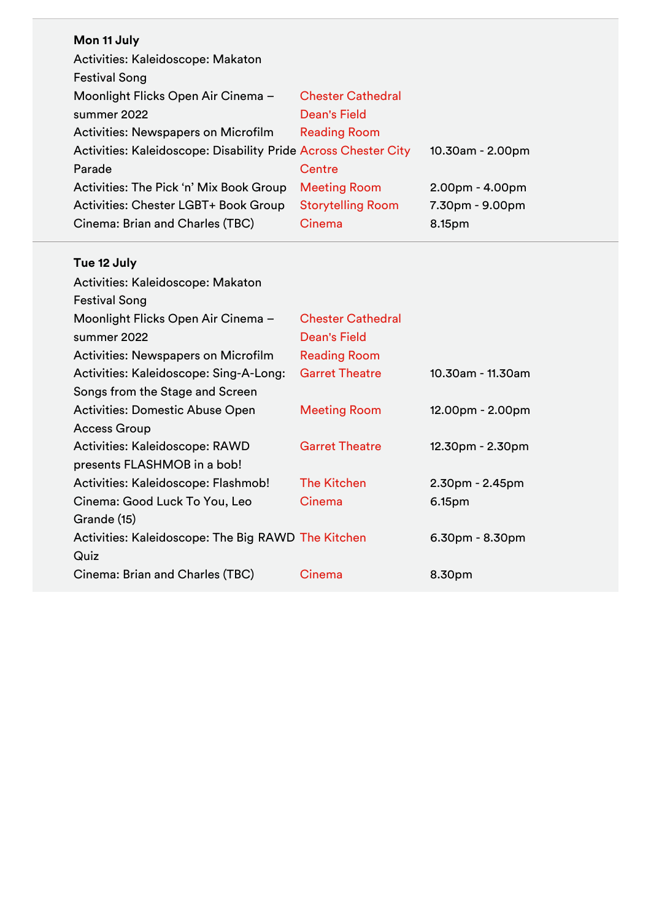## **Mon 11 July**

| Activities: Kaleidoscope: Makaton                              |                          |                   |
|----------------------------------------------------------------|--------------------------|-------------------|
| <b>Festival Song</b>                                           |                          |                   |
| Moonlight Flicks Open Air Cinema -                             | <b>Chester Cathedral</b> |                   |
| summer 2022                                                    | <b>Dean's Field</b>      |                   |
| Activities: Newspapers on Microfilm                            | <b>Reading Room</b>      |                   |
| Activities: Kaleidoscope: Disability Pride Across Chester City |                          | 10.30am - 2.00pm  |
| Parade                                                         | Centre                   |                   |
| Activities: The Pick 'n' Mix Book Group                        | <b>Meeting Room</b>      | $2.00pm - 4.00pm$ |
| Activities: Chester LGBT+ Book Group                           | <b>Storytelling Room</b> | 7.30pm - 9.00pm   |
| Cinema: Brian and Charles (TBC)                                | Cinema                   | 8.15pm            |

## **Tue 12 July**

| Activities: Kaleidoscope: Makaton                  |                          |                    |
|----------------------------------------------------|--------------------------|--------------------|
| <b>Festival Song</b>                               |                          |                    |
| Moonlight Flicks Open Air Cinema -                 | <b>Chester Cathedral</b> |                    |
| summer 2022                                        | Dean's Field             |                    |
| <b>Activities: Newspapers on Microfilm</b>         | <b>Reading Room</b>      |                    |
| Activities: Kaleidoscope: Sing-A-Long:             | <b>Garret Theatre</b>    | 10.30am - 11.30am  |
| Songs from the Stage and Screen                    |                          |                    |
| Activities: Domestic Abuse Open                    | <b>Meeting Room</b>      | 12.00pm - 2.00pm   |
| <b>Access Group</b>                                |                          |                    |
| Activities: Kaleidoscope: RAWD                     | <b>Garret Theatre</b>    | $12.30pm - 2.30pm$ |
| presents FLASHMOB in a bob!                        |                          |                    |
| Activities: Kaleidoscope: Flashmob!                | <b>The Kitchen</b>       | $2.30pm - 2.45pm$  |
| Cinema: Good Luck To You, Leo                      | Cinema                   | 6.15pm             |
| Grande (15)                                        |                          |                    |
| Activities: Kaleidoscope: The Big RAWD The Kitchen |                          | $6.30pm - 8.30pm$  |
| Quiz                                               |                          |                    |
| Cinema: Brian and Charles (TBC)                    | Cinema                   | 8.30pm             |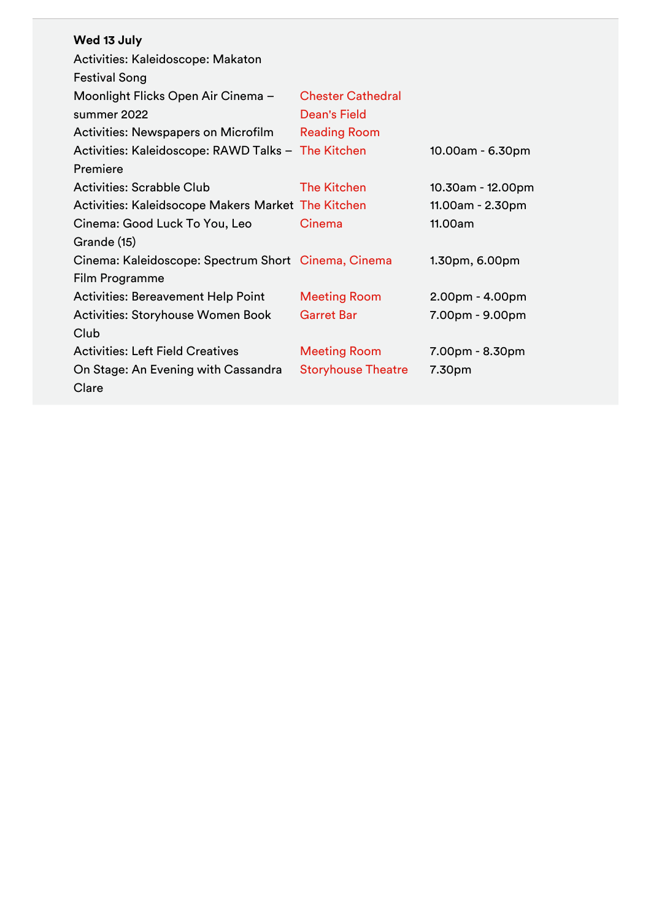| Wed 13 July                                         |                           |                   |
|-----------------------------------------------------|---------------------------|-------------------|
| Activities: Kaleidoscope: Makaton                   |                           |                   |
| <b>Festival Song</b>                                |                           |                   |
| Moonlight Flicks Open Air Cinema -                  | <b>Chester Cathedral</b>  |                   |
| summer 2022                                         | Dean's Field              |                   |
| <b>Activities: Newspapers on Microfilm</b>          | <b>Reading Room</b>       |                   |
| Activities: Kaleidoscope: RAWD Talks - The Kitchen  |                           | 10.00am - 6.30pm  |
| Premiere                                            |                           |                   |
| Activities: Scrabble Club                           | <b>The Kitchen</b>        | 10.30am - 12.00pm |
| Activities: Kaleidsocope Makers Market The Kitchen  |                           | 11.00am - 2.30pm  |
| Cinema: Good Luck To You, Leo                       | Cinema                    | 11.00am           |
| Grande (15)                                         |                           |                   |
| Cinema: Kaleidoscope: Spectrum Short Cinema, Cinema |                           | 1.30pm, 6.00pm    |
| Film Programme                                      |                           |                   |
| <b>Activities: Bereavement Help Point</b>           | <b>Meeting Room</b>       | $2.00pm - 4.00pm$ |
| Activities: Storyhouse Women Book                   | <b>Garret Bar</b>         | 7.00pm - 9.00pm   |
| Club                                                |                           |                   |
| <b>Activities: Left Field Creatives</b>             | <b>Meeting Room</b>       | 7.00pm - 8.30pm   |
| On Stage: An Evening with Cassandra                 | <b>Storyhouse Theatre</b> | 7.30pm            |
| Clare                                               |                           |                   |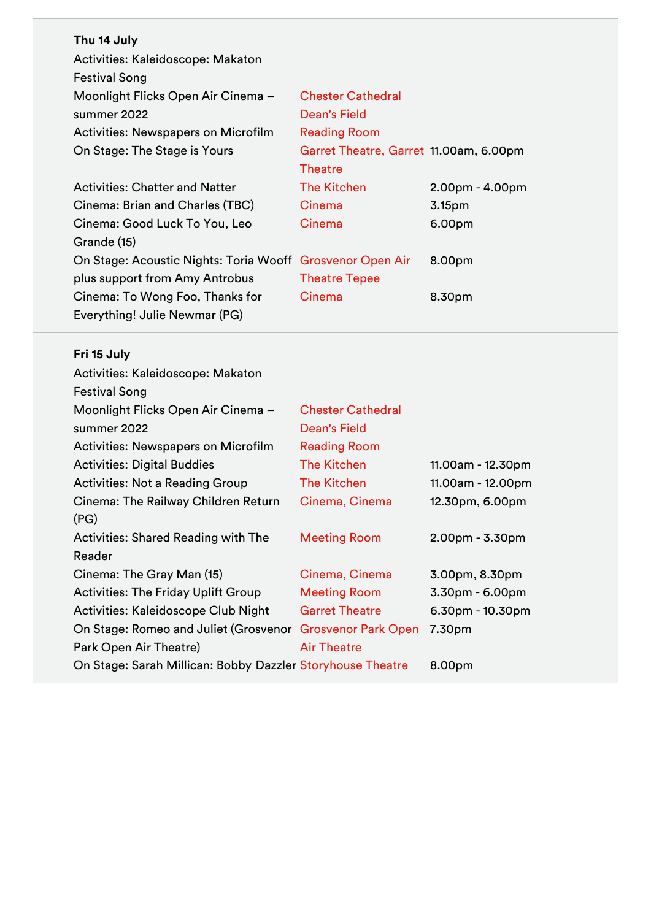| Thu 14 July                                               |                                        |                    |
|-----------------------------------------------------------|----------------------------------------|--------------------|
| Activities: Kaleidoscope: Makaton                         |                                        |                    |
| <b>Festival Song</b>                                      |                                        |                    |
| Moonlight Flicks Open Air Cinema -                        | <b>Chester Cathedral</b>               |                    |
| summer 2022                                               | Dean's Field                           |                    |
| <b>Activities: Newspapers on Microfilm</b>                | <b>Reading Room</b>                    |                    |
| On Stage: The Stage is Yours                              | Garret Theatre, Garret 11.00am, 6.00pm |                    |
|                                                           | <b>Theatre</b>                         |                    |
| <b>Activities: Chatter and Natter</b>                     | <b>The Kitchen</b>                     | $2.00pm - 4.00pm$  |
| Cinema: Brian and Charles (TBC)                           | Cinema                                 | 3.15 <sub>pm</sub> |
| Cinema: Good Luck To You, Leo                             | Cinema                                 | 6.00pm             |
| Grande (15)                                               |                                        |                    |
| On Stage: Acoustic Nights: Toria Wooff Grosvenor Open Air |                                        | 8.00pm             |
| plus support from Amy Antrobus                            | <b>Theatre Tepee</b>                   |                    |
| Cinema: To Wong Foo, Thanks for                           | Cinema                                 | 8.30pm             |
| Everything! Julie Newmar (PG)                             |                                        |                    |

# **Fri 15 July**

| Activities: Kaleidoscope: Makaton                          |                            |                    |
|------------------------------------------------------------|----------------------------|--------------------|
| <b>Festival Song</b>                                       |                            |                    |
| Moonlight Flicks Open Air Cinema -                         | <b>Chester Cathedral</b>   |                    |
| summer 2022                                                | Dean's Field               |                    |
| <b>Activities: Newspapers on Microfilm</b>                 | <b>Reading Room</b>        |                    |
| <b>Activities: Digital Buddies</b>                         | <b>The Kitchen</b>         | 11.00am - 12.30pm  |
| <b>Activities: Not a Reading Group</b>                     | <b>The Kitchen</b>         | 11.00am - 12.00pm  |
| Cinema: The Railway Children Return                        | Cinema, Cinema             | 12.30pm, 6.00pm    |
| (PG)                                                       |                            |                    |
| <b>Activities: Shared Reading with The</b>                 | <b>Meeting Room</b>        | $2.00pm - 3.30pm$  |
| Reader                                                     |                            |                    |
| Cinema: The Gray Man (15)                                  | Cinema, Cinema             | 3.00pm, 8.30pm     |
| <b>Activities: The Friday Uplift Group</b>                 | <b>Meeting Room</b>        | $3.30pm - 6.00pm$  |
| Activities: Kaleidoscope Club Night                        | <b>Garret Theatre</b>      | $6.30pm - 10.30pm$ |
| On Stage: Romeo and Juliet (Grosvenor                      | <b>Grosvenor Park Open</b> | 7.30pm             |
| Park Open Air Theatre)                                     | <b>Air Theatre</b>         |                    |
| On Stage: Sarah Millican: Bobby Dazzler Storyhouse Theatre |                            | 8.00pm             |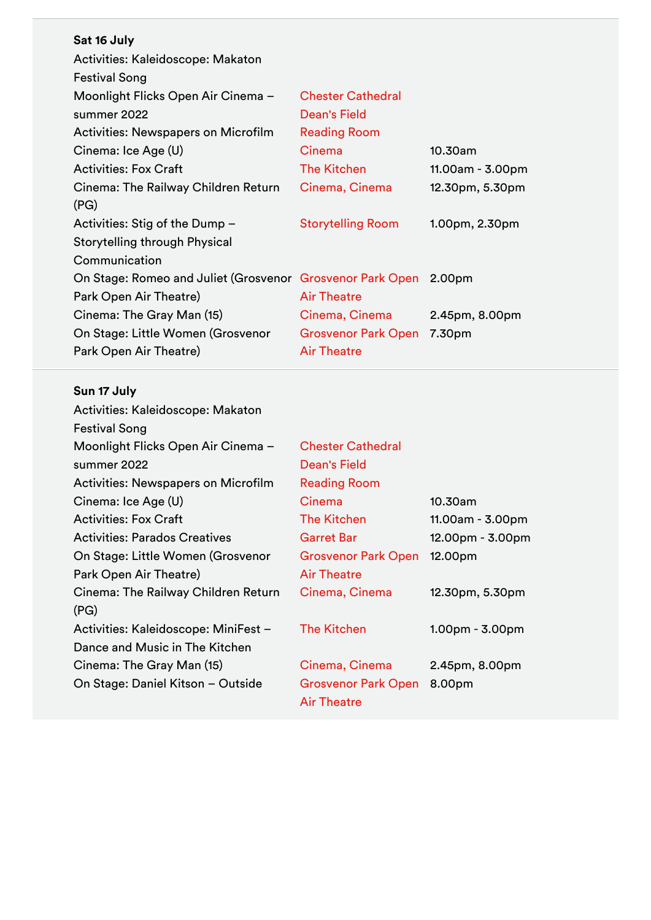| Sat 16 July                                                      |                            |                  |
|------------------------------------------------------------------|----------------------------|------------------|
| Activities: Kaleidoscope: Makaton                                |                            |                  |
| <b>Festival Song</b>                                             |                            |                  |
| Moonlight Flicks Open Air Cinema -                               | <b>Chester Cathedral</b>   |                  |
| summer 2022                                                      | Dean's Field               |                  |
| <b>Activities: Newspapers on Microfilm</b>                       | <b>Reading Room</b>        |                  |
| Cinema: Ice Age (U)                                              | Cinema                     | 10.30am          |
| <b>Activities: Fox Craft</b>                                     | <b>The Kitchen</b>         | 11.00am - 3.00pm |
| Cinema: The Railway Children Return                              | Cinema, Cinema             | 12.30pm, 5.30pm  |
| (PG)                                                             |                            |                  |
| Activities: Stig of the Dump -                                   | <b>Storytelling Room</b>   | 1.00pm, 2.30pm   |
| Storytelling through Physical                                    |                            |                  |
| Communication                                                    |                            |                  |
| On Stage: Romeo and Juliet (Grosvenor Grosvenor Park Open 2.00pm |                            |                  |
| Park Open Air Theatre)                                           | <b>Air Theatre</b>         |                  |
| Cinema: The Gray Man (15)                                        | Cinema, Cinema             | 2.45pm, 8.00pm   |
| On Stage: Little Women (Grosvenor                                | <b>Grosvenor Park Open</b> | 7.30pm           |
| Park Open Air Theatre)                                           | <b>Air Theatre</b>         |                  |

#### **Sun 17 July**

| Activities: Kaleidoscope: Makaton           |                                                  |                   |
|---------------------------------------------|--------------------------------------------------|-------------------|
| <b>Festival Song</b>                        |                                                  |                   |
| Moonlight Flicks Open Air Cinema -          | <b>Chester Cathedral</b>                         |                   |
| summer 2022                                 | <b>Dean's Field</b>                              |                   |
| <b>Activities: Newspapers on Microfilm</b>  | <b>Reading Room</b>                              |                   |
| Cinema: Ice Age (U)                         | Cinema                                           | 10.30am           |
| <b>Activities: Fox Craft</b>                | The Kitchen                                      | 11.00am - 3.00pm  |
| <b>Activities: Parados Creatives</b>        | <b>Garret Bar</b>                                | 12.00pm - 3.00pm  |
| On Stage: Little Women (Grosvenor           | <b>Grosvenor Park Open</b>                       | 12.00pm           |
| Park Open Air Theatre)                      | <b>Air Theatre</b>                               |                   |
| Cinema: The Railway Children Return<br>(PG) | Cinema, Cinema                                   | 12.30pm, 5.30pm   |
| Activities: Kaleidoscope: MiniFest -        | <b>The Kitchen</b>                               | $1.00pm - 3.00pm$ |
| Dance and Music in The Kitchen              |                                                  |                   |
| Cinema: The Gray Man (15)                   | Cinema, Cinema                                   | 2.45pm, 8.00pm    |
| On Stage: Daniel Kitson - Outside           | <b>Grosvenor Park Open</b><br><b>Air Theatre</b> | 8.00pm            |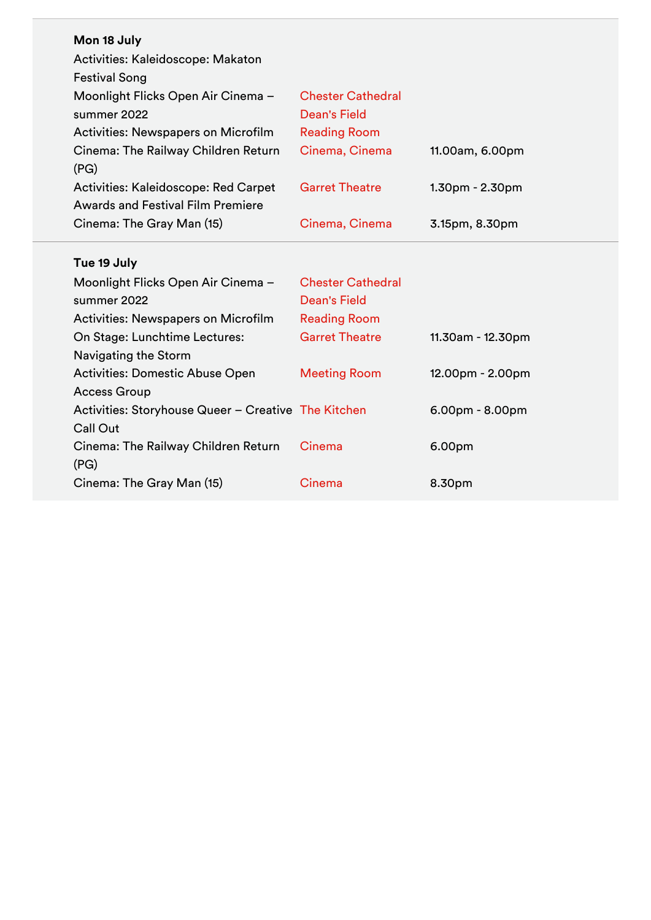| Mon 18 July                                         |                          |                   |
|-----------------------------------------------------|--------------------------|-------------------|
| Activities: Kaleidoscope: Makaton                   |                          |                   |
| <b>Festival Song</b>                                |                          |                   |
| Moonlight Flicks Open Air Cinema -                  | <b>Chester Cathedral</b> |                   |
| summer 2022                                         | <b>Dean's Field</b>      |                   |
| Activities: Newspapers on Microfilm                 | <b>Reading Room</b>      |                   |
| Cinema: The Railway Children Return                 | Cinema, Cinema           | 11.00am, 6.00pm   |
| (PG)                                                |                          |                   |
| Activities: Kaleidoscope: Red Carpet                | <b>Garret Theatre</b>    | 1.30pm - 2.30pm   |
| <b>Awards and Festival Film Premiere</b>            |                          |                   |
| Cinema: The Gray Man (15)                           | Cinema, Cinema           | 3.15pm, 8.30pm    |
|                                                     |                          |                   |
| Tue 19 July                                         |                          |                   |
|                                                     |                          |                   |
| Moonlight Flicks Open Air Cinema -                  | <b>Chester Cathedral</b> |                   |
| summer 2022                                         | <b>Dean's Field</b>      |                   |
| <b>Activities: Newspapers on Microfilm</b>          | <b>Reading Room</b>      |                   |
| On Stage: Lunchtime Lectures:                       | <b>Garret Theatre</b>    | 11.30am - 12.30pm |
| Navigating the Storm                                |                          |                   |
| <b>Activities: Domestic Abuse Open</b>              | <b>Meeting Room</b>      | 12.00pm - 2.00pm  |
| <b>Access Group</b>                                 |                          |                   |
| Activities: Storyhouse Queer - Creative The Kitchen |                          | $6.00pm - 8.00pm$ |
| <b>Call Out</b>                                     |                          |                   |
| Cinema: The Railway Children Return                 | Cinema                   | 6.00pm            |
| (PG)                                                |                          |                   |
| Cinema: The Gray Man (15)                           | Cinema                   | 8.30pm            |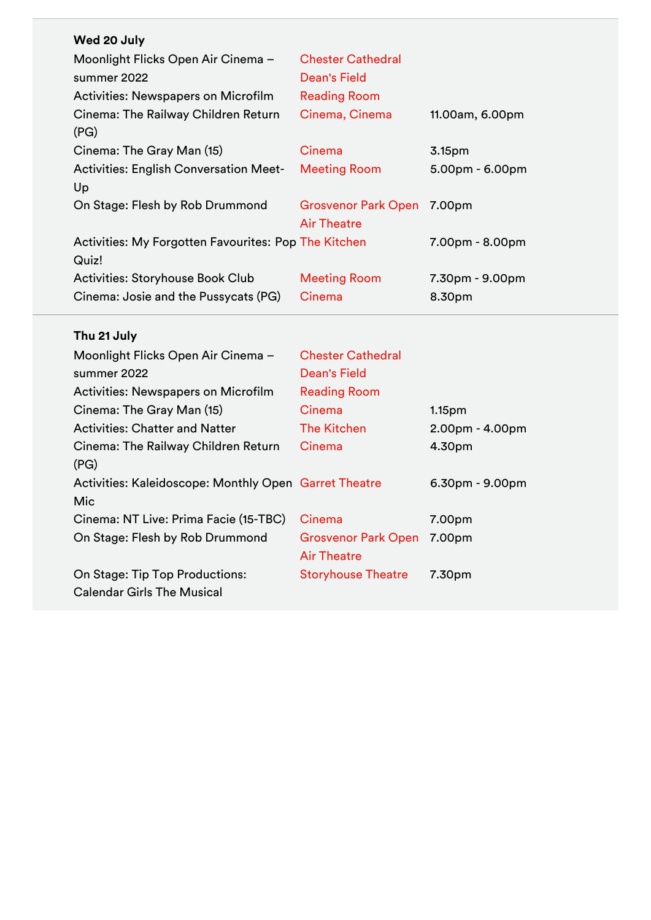| Wed 20 July                                          |                            |                    |
|------------------------------------------------------|----------------------------|--------------------|
| Moonlight Flicks Open Air Cinema -                   | <b>Chester Cathedral</b>   |                    |
| summer 2022                                          | Dean's Field               |                    |
| <b>Activities: Newspapers on Microfilm</b>           | <b>Reading Room</b>        |                    |
| Cinema: The Railway Children Return                  | Cinema, Cinema             | 11.00am, 6.00pm    |
| (PG)                                                 |                            |                    |
| Cinema: The Gray Man (15)                            | Cinema                     | 3.15 <sub>pm</sub> |
| <b>Activities: English Conversation Meet-</b>        | <b>Meeting Room</b>        | $5.00pm - 6.00pm$  |
| Up                                                   |                            |                    |
| On Stage: Flesh by Rob Drummond                      | Grosvenor Park Open 7.00pm |                    |
|                                                      | <b>Air Theatre</b>         |                    |
| Activities: My Forgotten Favourites: Pop The Kitchen |                            | 7.00pm - 8.00pm    |
| Quiz!                                                |                            |                    |
| Activities: Storyhouse Book Club                     | <b>Meeting Room</b>        | 7.30pm - 9.00pm    |
| Cinema: Josie and the Pussycats (PG)                 | Cinema                     | 8.30pm             |

# **Thu 21 July**

| Moonlight Flicks Open Air Cinema -                    | <b>Chester Cathedral</b>   |                    |
|-------------------------------------------------------|----------------------------|--------------------|
| summer 2022                                           | Dean's Field               |                    |
| <b>Activities: Newspapers on Microfilm</b>            | <b>Reading Room</b>        |                    |
| Cinema: The Gray Man (15)                             | Cinema                     | 1.15 <sub>pm</sub> |
| <b>Activities: Chatter and Natter</b>                 | <b>The Kitchen</b>         | $2.00pm - 4.00pm$  |
| Cinema: The Railway Children Return                   | Cinema                     | 4.30pm             |
| (PG)                                                  |                            |                    |
| Activities: Kaleidoscope: Monthly Open Garret Theatre |                            | $6.30pm - 9.00pm$  |
| Mic                                                   |                            |                    |
| Cinema: NT Live: Prima Facie (15-TBC)                 | Cinema                     | 7.00pm             |
| On Stage: Flesh by Rob Drummond                       | <b>Grosvenor Park Open</b> | 7.00pm             |
|                                                       | <b>Air Theatre</b>         |                    |
| On Stage: Tip Top Productions:                        | <b>Storyhouse Theatre</b>  | 7.30pm             |
| <b>Calendar Girls The Musical</b>                     |                            |                    |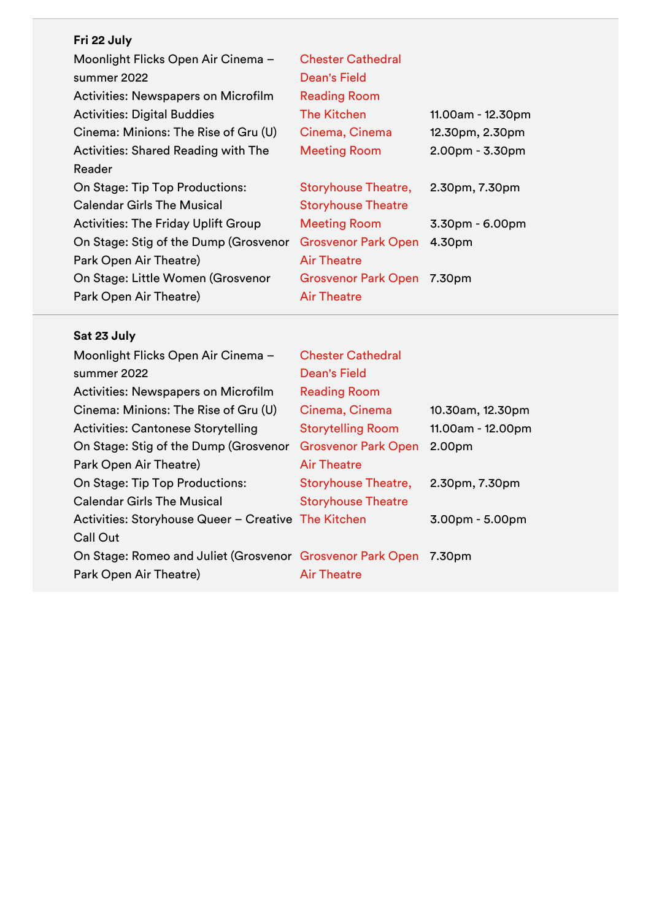| Fri 22 July                                |                            |                   |
|--------------------------------------------|----------------------------|-------------------|
| Moonlight Flicks Open Air Cinema -         | <b>Chester Cathedral</b>   |                   |
| summer 2022                                | Dean's Field               |                   |
| <b>Activities: Newspapers on Microfilm</b> | <b>Reading Room</b>        |                   |
| <b>Activities: Digital Buddies</b>         | <b>The Kitchen</b>         | 11.00am - 12.30pm |
| Cinema: Minions: The Rise of Gru (U)       | Cinema, Cinema             | 12.30pm, 2.30pm   |
| <b>Activities: Shared Reading with The</b> | <b>Meeting Room</b>        | $2.00pm - 3.30pm$ |
| Reader                                     |                            |                   |
| On Stage: Tip Top Productions:             | <b>Storyhouse Theatre,</b> | 2.30pm, 7.30pm    |
| <b>Calendar Girls The Musical</b>          | <b>Storyhouse Theatre</b>  |                   |
| <b>Activities: The Friday Uplift Group</b> | <b>Meeting Room</b>        | $3.30pm - 6.00pm$ |
| On Stage: Stig of the Dump (Grosvenor      | <b>Grosvenor Park Open</b> | 4.30pm            |
| Park Open Air Theatre)                     | <b>Air Theatre</b>         |                   |
| On Stage: Little Women (Grosvenor          | <b>Grosvenor Park Open</b> | 7.30pm            |
| Park Open Air Theatre)                     | <b>Air Theatre</b>         |                   |

## **Sat 23 July**

| Moonlight Flicks Open Air Cinema -                        | <b>Chester Cathedral</b>   |                   |
|-----------------------------------------------------------|----------------------------|-------------------|
| summer 2022                                               | Dean's Field               |                   |
| <b>Activities: Newspapers on Microfilm</b>                | <b>Reading Room</b>        |                   |
| Cinema: Minions: The Rise of Gru (U)                      | Cinema, Cinema             | 10.30am, 12.30pm  |
| <b>Activities: Cantonese Storytelling</b>                 | <b>Storytelling Room</b>   | 11.00am - 12.00pm |
| On Stage: Stig of the Dump (Grosvenor                     | <b>Grosvenor Park Open</b> | 2.00pm            |
| Park Open Air Theatre)                                    | <b>Air Theatre</b>         |                   |
| On Stage: Tip Top Productions:                            | <b>Storyhouse Theatre,</b> | 2.30pm, 7.30pm    |
| <b>Calendar Girls The Musical</b>                         | <b>Storyhouse Theatre</b>  |                   |
| Activities: Storyhouse Queer – Creative The Kitchen       |                            | $3.00pm - 5.00pm$ |
| <b>Call Out</b>                                           |                            |                   |
| On Stage: Romeo and Juliet (Grosvenor Grosvenor Park Open |                            | 7.30pm            |
| Park Open Air Theatre)                                    | <b>Air Theatre</b>         |                   |
|                                                           |                            |                   |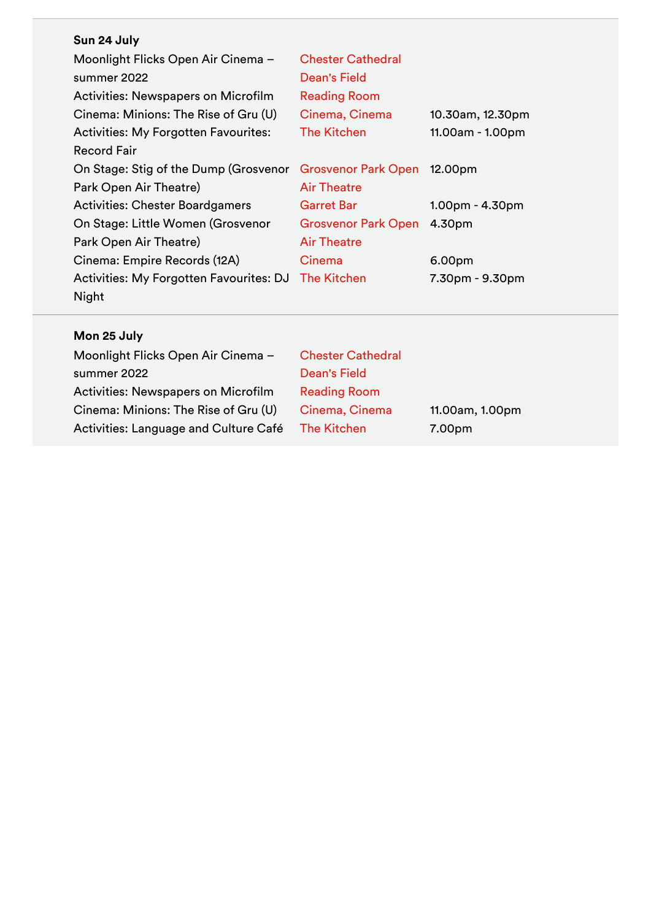|  | Sun 24 July |  |
|--|-------------|--|
|  |             |  |

| Moonlight Flicks Open Air Cinema -          | <b>Chester Cathedral</b>   |                   |
|---------------------------------------------|----------------------------|-------------------|
| summer 2022                                 | Dean's Field               |                   |
| Activities: Newspapers on Microfilm         | <b>Reading Room</b>        |                   |
| Cinema: Minions: The Rise of Gru (U)        | Cinema, Cinema             | 10.30am, 12.30pm  |
| <b>Activities: My Forgotten Favourites:</b> | <b>The Kitchen</b>         | 11.00am - 1.00pm  |
| <b>Record Fair</b>                          |                            |                   |
| On Stage: Stig of the Dump (Grosvenor       | <b>Grosvenor Park Open</b> | 12.00pm           |
| Park Open Air Theatre)                      | <b>Air Theatre</b>         |                   |
| <b>Activities: Chester Boardgamers</b>      | <b>Garret Bar</b>          | $1.00pm - 4.30pm$ |
|                                             |                            |                   |
| On Stage: Little Women (Grosvenor           | <b>Grosvenor Park Open</b> | 4.30pm            |
| Park Open Air Theatre)                      | <b>Air Theatre</b>         |                   |
| Cinema: Empire Records (12A)                | Cinema                     | 6.00pm            |
| Activities: My Forgotten Favourites: DJ     | The Kitchen                | 7.30pm - 9.30pm   |

# **Mon 25 July**

| <b>Chester Cathedral</b> |                 |
|--------------------------|-----------------|
| Dean's Field             |                 |
| <b>Reading Room</b>      |                 |
| Cinema, Cinema           | 11.00am, 1.00pm |
| <b>The Kitchen</b>       | 7.00pm          |
|                          |                 |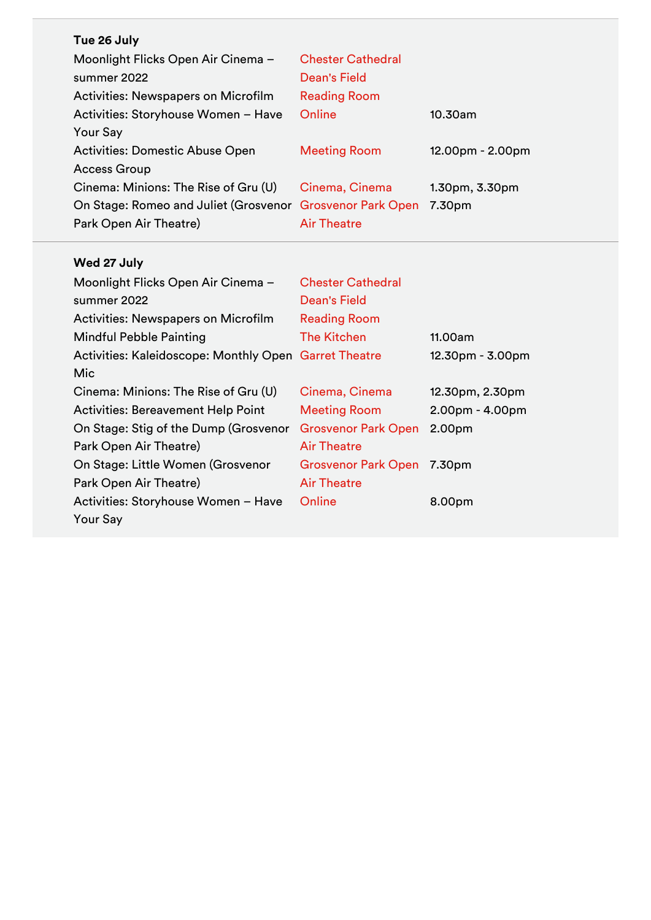| Tue 26 July                                               |                          |                     |
|-----------------------------------------------------------|--------------------------|---------------------|
| Moonlight Flicks Open Air Cinema -                        | <b>Chester Cathedral</b> |                     |
| summer 2022                                               | Dean's Field             |                     |
| <b>Activities: Newspapers on Microfilm</b>                | <b>Reading Room</b>      |                     |
| Activities: Storyhouse Women - Have                       | Online                   | 10.30am             |
| <b>Your Say</b>                                           |                          |                     |
| <b>Activities: Domestic Abuse Open</b>                    | <b>Meeting Room</b>      | 12.00pm - 2.00pm    |
| <b>Access Group</b>                                       |                          |                     |
| Cinema: Minions: The Rise of Gru (U)                      | Cinema, Cinema           | $1.30pm$ , $3.30pm$ |
| On Stage: Romeo and Juliet (Grosvenor Grosvenor Park Open |                          | 7.30pm              |
| Park Open Air Theatre)                                    | <b>Air Theatre</b>       |                     |

## **Wed 27 July**

| Moonlight Flicks Open Air Cinema -                    | <b>Chester Cathedral</b>   |                   |
|-------------------------------------------------------|----------------------------|-------------------|
| summer 2022                                           | Dean's Field               |                   |
| Activities: Newspapers on Microfilm                   | <b>Reading Room</b>        |                   |
| <b>Mindful Pebble Painting</b>                        | The Kitchen                | 11.00am           |
| Activities: Kaleidoscope: Monthly Open Garret Theatre |                            | 12.30pm - 3.00pm  |
| Mic                                                   |                            |                   |
| Cinema: Minions: The Rise of Gru (U)                  | Cinema, Cinema             | 12.30pm, 2.30pm   |
| <b>Activities: Bereavement Help Point</b>             | <b>Meeting Room</b>        | $2.00pm - 4.00pm$ |
| On Stage: Stig of the Dump (Grosvenor                 | <b>Grosvenor Park Open</b> | 2.00pm            |
| Park Open Air Theatre)                                | <b>Air Theatre</b>         |                   |
| On Stage: Little Women (Grosvenor                     | <b>Grosvenor Park Open</b> | 7.30pm            |
| Park Open Air Theatre)                                | <b>Air Theatre</b>         |                   |
| Activities: Storyhouse Women - Have                   | Online                     | 8.00pm            |
| <b>Your Say</b>                                       |                            |                   |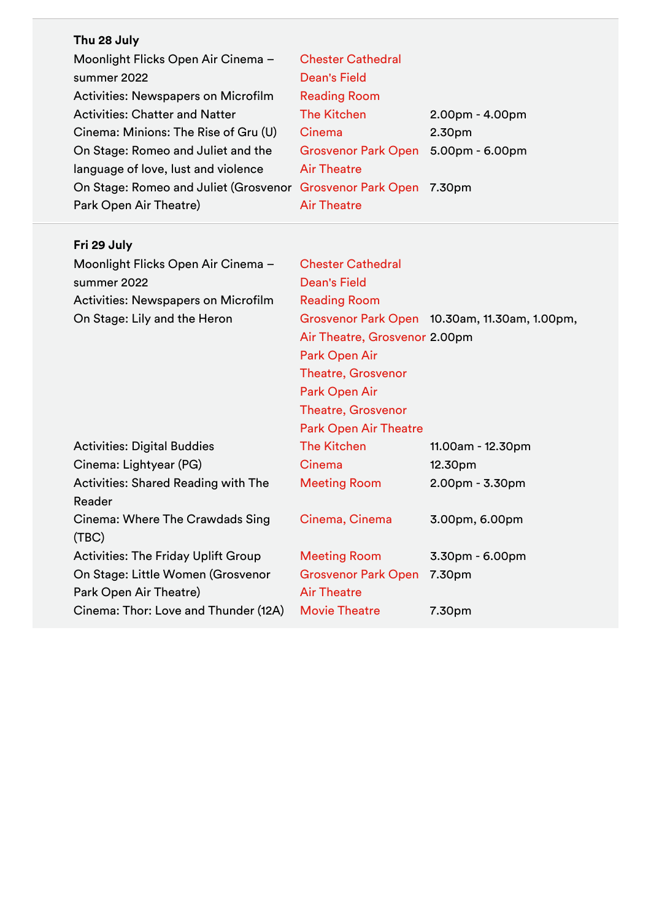| Thu 28 July                                               |                            |                   |
|-----------------------------------------------------------|----------------------------|-------------------|
| Moonlight Flicks Open Air Cinema -                        | <b>Chester Cathedral</b>   |                   |
| summer 2022                                               | <b>Dean's Field</b>        |                   |
| <b>Activities: Newspapers on Microfilm</b>                | <b>Reading Room</b>        |                   |
| <b>Activities: Chatter and Natter</b>                     | <b>The Kitchen</b>         | $2.00pm - 4.00pm$ |
| Cinema: Minions: The Rise of Gru (U)                      | Cinema                     | 2.30pm            |
| On Stage: Romeo and Juliet and the                        | <b>Grosvenor Park Open</b> | $5.00pm - 6.00pm$ |
| language of love, lust and violence                       | <b>Air Theatre</b>         |                   |
| On Stage: Romeo and Juliet (Grosvenor Grosvenor Park Open |                            | 7.30pm            |
| Park Open Air Theatre)                                    | <b>Air Theatre</b>         |                   |

| Fri 29 July |  |  |
|-------------|--|--|
|-------------|--|--|

| Moonlight Flicks Open Air Cinema -         | <b>Chester Cathedral</b>      |                                               |
|--------------------------------------------|-------------------------------|-----------------------------------------------|
| summer 2022                                | <b>Dean's Field</b>           |                                               |
| <b>Activities: Newspapers on Microfilm</b> | <b>Reading Room</b>           |                                               |
| On Stage: Lily and the Heron               |                               | Grosvenor Park Open 10.30am, 11.30am, 1.00pm, |
|                                            | Air Theatre, Grosvenor 2.00pm |                                               |
|                                            | Park Open Air                 |                                               |
|                                            | <b>Theatre, Grosvenor</b>     |                                               |
|                                            | Park Open Air                 |                                               |
|                                            | <b>Theatre, Grosvenor</b>     |                                               |
|                                            | <b>Park Open Air Theatre</b>  |                                               |
| <b>Activities: Digital Buddies</b>         | <b>The Kitchen</b>            | 11.00am - 12.30pm                             |
| Cinema: Lightyear (PG)                     | Cinema                        | 12.30pm                                       |
| <b>Activities: Shared Reading with The</b> | <b>Meeting Room</b>           | 2.00pm - 3.30pm                               |
| Reader                                     |                               |                                               |
| Cinema: Where The Crawdads Sing            | Cinema, Cinema                | 3.00pm, 6.00pm                                |
| (TBC)                                      |                               |                                               |
| <b>Activities: The Friday Uplift Group</b> | <b>Meeting Room</b>           | $3.30pm - 6.00pm$                             |
| On Stage: Little Women (Grosvenor          | <b>Grosvenor Park Open</b>    | 7.30pm                                        |
| Park Open Air Theatre)                     | <b>Air Theatre</b>            |                                               |
| Cinema: Thor: Love and Thunder (12A)       | <b>Movie Theatre</b>          | 7.30pm                                        |
|                                            |                               |                                               |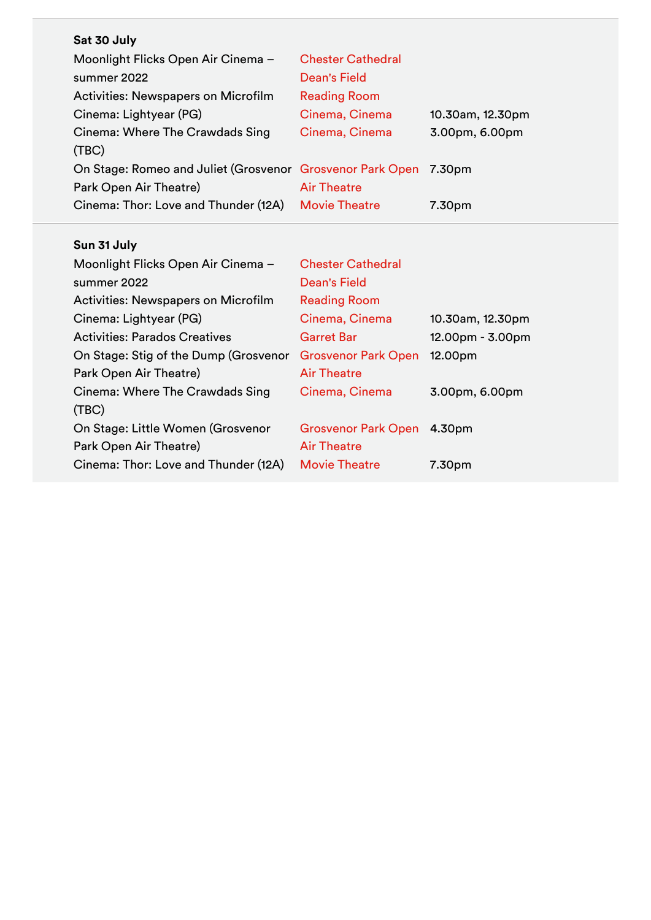| Sat 30 July                                                      |                            |                  |
|------------------------------------------------------------------|----------------------------|------------------|
| Moonlight Flicks Open Air Cinema -                               | <b>Chester Cathedral</b>   |                  |
| summer 2022                                                      | <b>Dean's Field</b>        |                  |
| <b>Activities: Newspapers on Microfilm</b>                       | <b>Reading Room</b>        |                  |
| Cinema: Lightyear (PG)                                           | Cinema, Cinema             | 10.30am, 12.30pm |
| Cinema: Where The Crawdads Sing                                  | Cinema, Cinema             | 3.00pm, 6.00pm   |
| (TBC)                                                            |                            |                  |
| On Stage: Romeo and Juliet (Grosvenor Grosvenor Park Open 7.30pm |                            |                  |
| Park Open Air Theatre)                                           | <b>Air Theatre</b>         |                  |
| Cinema: Thor: Love and Thunder (12A)                             | <b>Movie Theatre</b>       | 7.30pm           |
|                                                                  |                            |                  |
| Sun 31 July                                                      |                            |                  |
|                                                                  |                            |                  |
| Moonlight Flicks Open Air Cinema -                               | <b>Chester Cathedral</b>   |                  |
| summer 2022                                                      | <b>Dean's Field</b>        |                  |
| <b>Activities: Newspapers on Microfilm</b>                       | <b>Reading Room</b>        |                  |
| Cinema: Lightyear (PG)                                           | Cinema, Cinema             | 10.30am, 12.30pm |
| <b>Activities: Parados Creatives</b>                             | <b>Garret Bar</b>          | 12.00pm - 3.00pm |
| On Stage: Stig of the Dump (Grosvenor                            | <b>Grosvenor Park Open</b> | 12.00pm          |
| Park Open Air Theatre)                                           | <b>Air Theatre</b>         |                  |
| Cinema: Where The Crawdads Sing                                  | Cinema, Cinema             | 3.00pm, 6.00pm   |
| (TEC)                                                            |                            |                  |
| On Stage: Little Women (Grosvenor                                | <b>Grosvenor Park Open</b> | 4.30pm           |
| Park Open Air Theatre)                                           | <b>Air Theatre</b>         |                  |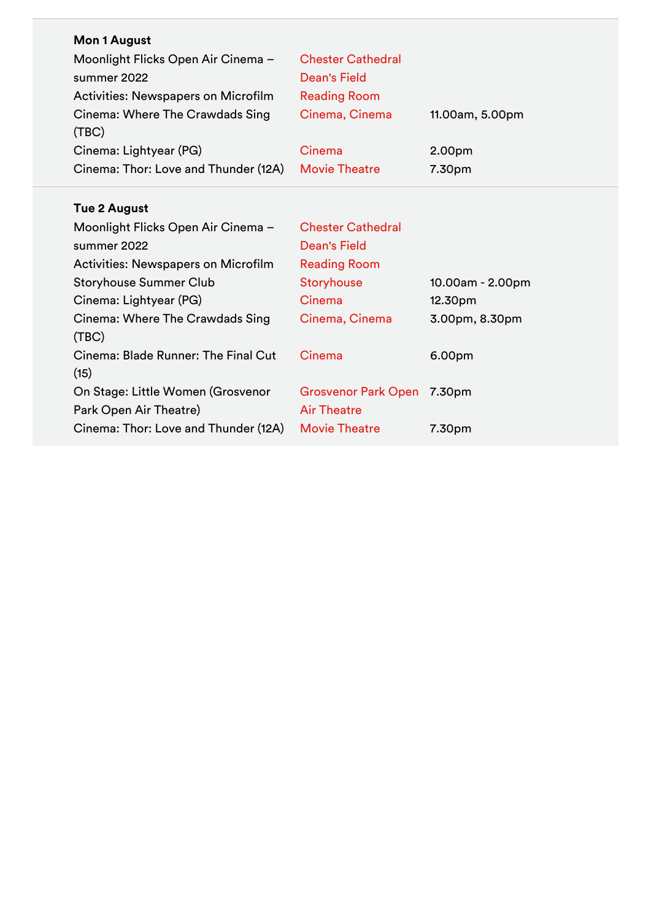| <b>Mon 1 August</b>                        |                            |                  |
|--------------------------------------------|----------------------------|------------------|
| Moonlight Flicks Open Air Cinema -         | <b>Chester Cathedral</b>   |                  |
| summer 2022                                | <b>Dean's Field</b>        |                  |
| <b>Activities: Newspapers on Microfilm</b> | <b>Reading Room</b>        |                  |
| Cinema: Where The Crawdads Sing            | Cinema, Cinema             | 11.00am, 5.00pm  |
| (TBC)                                      |                            |                  |
| Cinema: Lightyear (PG)                     | Cinema                     | 2.00pm           |
| Cinema: Thor: Love and Thunder (12A)       | <b>Movie Theatre</b>       | 7.30pm           |
|                                            |                            |                  |
| <b>Tue 2 August</b>                        |                            |                  |
| Moonlight Flicks Open Air Cinema -         | <b>Chester Cathedral</b>   |                  |
| summer 2022                                | <b>Dean's Field</b>        |                  |
| <b>Activities: Newspapers on Microfilm</b> | <b>Reading Room</b>        |                  |
| <b>Storyhouse Summer Club</b>              | Storyhouse                 | 10.00am - 2.00pm |
| Cinema: Lightyear (PG)                     | Cinema                     | 12.30pm          |
| Cinema: Where The Crawdads Sing            | Cinema, Cinema             | 3.00pm, 8.30pm   |
| (TEC)                                      |                            |                  |
| Cinema: Blade Runner: The Final Cut        | Cinema                     | 6.00pm           |
| (15)                                       |                            |                  |
| On Stage: Little Women (Grosvenor          | Grosvenor Park Open 7.30pm |                  |
| Park Open Air Theatre)                     | <b>Air Theatre</b>         |                  |
| Cinema: Thor: Love and Thunder (12A)       | <b>Movie Theatre</b>       | 7.30pm           |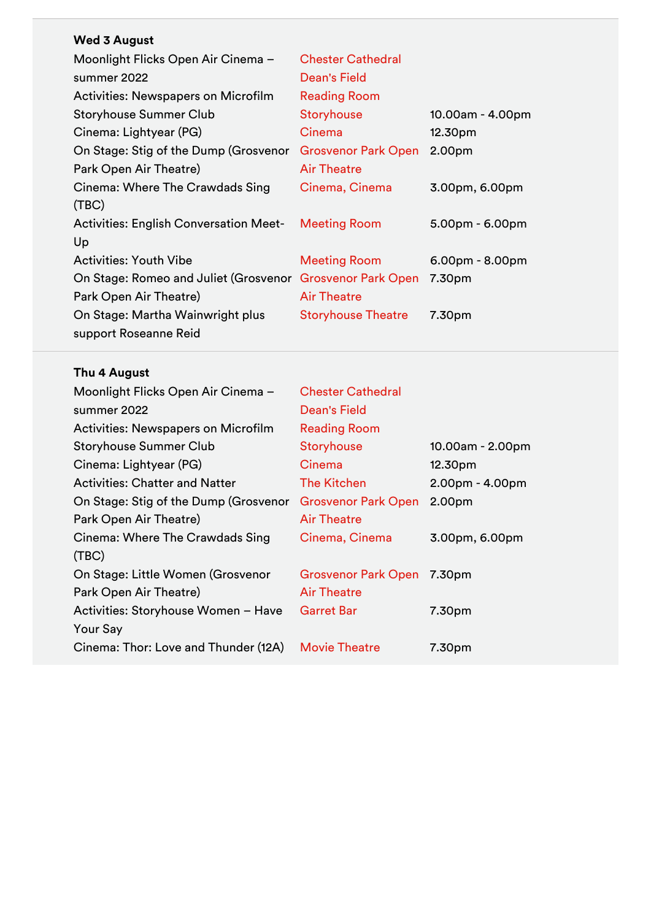## **Wed 3 August**

| Moonlight Flicks Open Air Cinema -                        | <b>Chester Cathedral</b>   |                   |
|-----------------------------------------------------------|----------------------------|-------------------|
| summer 2022                                               | Dean's Field               |                   |
| <b>Activities: Newspapers on Microfilm</b>                | <b>Reading Room</b>        |                   |
| <b>Storyhouse Summer Club</b>                             | <b>Storyhouse</b>          | 10.00am - 4.00pm  |
| Cinema: Lightyear (PG)                                    | Cinema                     | 12.30pm           |
| On Stage: Stig of the Dump (Grosvenor                     | <b>Grosvenor Park Open</b> | 2.00pm            |
| Park Open Air Theatre)                                    | <b>Air Theatre</b>         |                   |
| Cinema: Where The Crawdads Sing                           | Cinema, Cinema             | 3.00pm, 6.00pm    |
| (TEC)                                                     |                            |                   |
| <b>Activities: English Conversation Meet-</b>             | <b>Meeting Room</b>        | $5.00pm - 6.00pm$ |
| Up                                                        |                            |                   |
| <b>Activities: Youth Vibe</b>                             | <b>Meeting Room</b>        | $6.00pm - 8.00pm$ |
| On Stage: Romeo and Juliet (Grosvenor Grosvenor Park Open |                            | 7.30pm            |
| Park Open Air Theatre)                                    | <b>Air Theatre</b>         |                   |
| On Stage: Martha Wainwright plus                          | <b>Storyhouse Theatre</b>  | 7.30pm            |
| support Roseanne Reid                                     |                            |                   |

# **Thu 4 August**

| Moonlight Flicks Open Air Cinema -         | <b>Chester Cathedral</b>   |                   |
|--------------------------------------------|----------------------------|-------------------|
| summer 2022                                | Dean's Field               |                   |
| <b>Activities: Newspapers on Microfilm</b> | <b>Reading Room</b>        |                   |
| <b>Storyhouse Summer Club</b>              | Storyhouse                 | 10.00am - 2.00pm  |
| Cinema: Lightyear (PG)                     | Cinema                     | 12.30pm           |
| <b>Activities: Chatter and Natter</b>      | The Kitchen                | $2.00pm - 4.00pm$ |
| On Stage: Stig of the Dump (Grosvenor      | <b>Grosvenor Park Open</b> | 2.00pm            |
| Park Open Air Theatre)                     | <b>Air Theatre</b>         |                   |
| Cinema: Where The Crawdads Sing            | Cinema, Cinema             | 3.00pm, 6.00pm    |
| (TBC)                                      |                            |                   |
| On Stage: Little Women (Grosvenor          | <b>Grosvenor Park Open</b> | 7.30pm            |
| Park Open Air Theatre)                     | <b>Air Theatre</b>         |                   |
| Activities: Storyhouse Women - Have        | <b>Garret Bar</b>          | 7.30pm            |
| <b>Your Say</b>                            |                            |                   |
| Cinema: Thor: Love and Thunder (12A)       | <b>Movie Theatre</b>       | 7.30pm            |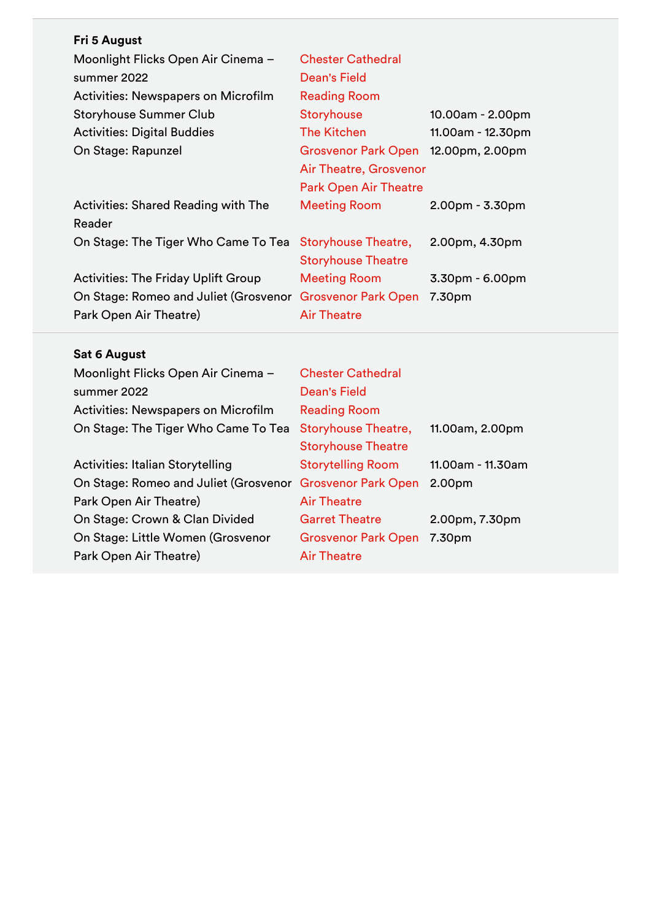| Fri 5 August                                              |                              |                   |
|-----------------------------------------------------------|------------------------------|-------------------|
| Moonlight Flicks Open Air Cinema -                        | <b>Chester Cathedral</b>     |                   |
| summer 2022                                               | <b>Dean's Field</b>          |                   |
| Activities: Newspapers on Microfilm                       | <b>Reading Room</b>          |                   |
| <b>Storyhouse Summer Club</b>                             | <b>Storyhouse</b>            | 10.00am - 2.00pm  |
| <b>Activities: Digital Buddies</b>                        | The Kitchen                  | 11.00am - 12.30pm |
| On Stage: Rapunzel                                        | <b>Grosvenor Park Open</b>   | 12.00pm, 2.00pm   |
|                                                           | Air Theatre, Grosvenor       |                   |
|                                                           | <b>Park Open Air Theatre</b> |                   |
| <b>Activities: Shared Reading with The</b>                | Meeting Room                 | $2.00pm - 3.30pm$ |
| Reader                                                    |                              |                   |
| On Stage: The Tiger Who Came To Tea                       | <b>Storyhouse Theatre,</b>   | 2.00pm, 4.30pm    |
|                                                           | <b>Storyhouse Theatre</b>    |                   |
| <b>Activities: The Friday Uplift Group</b>                | <b>Meeting Room</b>          | $3.30pm - 6.00pm$ |
| On Stage: Romeo and Juliet (Grosvenor Grosvenor Park Open |                              | 7.30pm            |
| Park Open Air Theatre)                                    | <b>Air Theatre</b>           |                   |

## **Sat 6 August**

| Moonlight Flicks Open Air Cinema -         | <b>Chester Cathedral</b>   |                   |
|--------------------------------------------|----------------------------|-------------------|
| summer 2022                                | <b>Dean's Field</b>        |                   |
| <b>Activities: Newspapers on Microfilm</b> | <b>Reading Room</b>        |                   |
| On Stage: The Tiger Who Came To Tea        | <b>Storyhouse Theatre,</b> | 11.00am, 2.00pm   |
|                                            | <b>Storyhouse Theatre</b>  |                   |
| <b>Activities: Italian Storytelling</b>    | <b>Storytelling Room</b>   | 11.00am - 11.30am |
| On Stage: Romeo and Juliet (Grosvenor      | <b>Grosvenor Park Open</b> | 2.00pm            |
| Park Open Air Theatre)                     | <b>Air Theatre</b>         |                   |
| On Stage: Crown & Clan Divided             | <b>Garret Theatre</b>      | 2.00pm, 7.30pm    |
| On Stage: Little Women (Grosvenor          | <b>Grosvenor Park Open</b> | 7.30pm            |
| Park Open Air Theatre)                     | <b>Air Theatre</b>         |                   |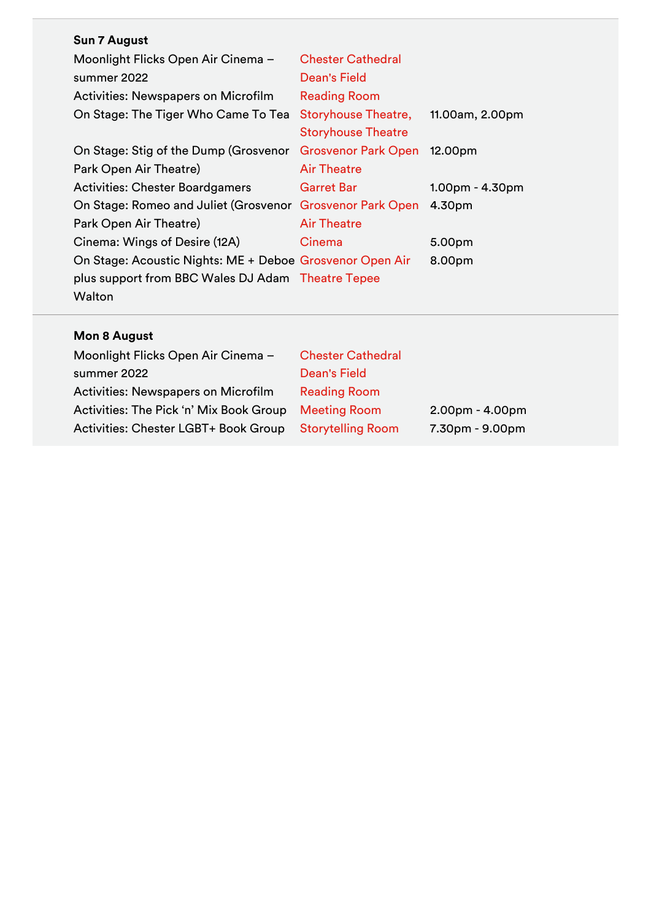## **Sun 7 August**

| Moonlight Flicks Open Air Cinema -                        | <b>Chester Cathedral</b>   |                 |
|-----------------------------------------------------------|----------------------------|-----------------|
| summer 2022                                               | Dean's Field               |                 |
| Activities: Newspapers on Microfilm                       | <b>Reading Room</b>        |                 |
| On Stage: The Tiger Who Came To Tea                       | <b>Storyhouse Theatre,</b> | 11.00am, 2.00pm |
|                                                           | <b>Storyhouse Theatre</b>  |                 |
| On Stage: Stig of the Dump (Grosvenor                     | <b>Grosvenor Park Open</b> | 12.00pm         |
| Park Open Air Theatre)                                    | <b>Air Theatre</b>         |                 |
| <b>Activities: Chester Boardgamers</b>                    | <b>Garret Bar</b>          | 1.00pm - 4.30pm |
| On Stage: Romeo and Juliet (Grosvenor Grosvenor Park Open |                            | 4.30pm          |
| Park Open Air Theatre)                                    | <b>Air Theatre</b>         |                 |
| Cinema: Wings of Desire (12A)                             | Cinema                     | 5.00pm          |
| On Stage: Acoustic Nights: ME + Deboe Grosvenor Open Air  |                            | 8.00pm          |
| plus support from BBC Wales DJ Adam Theatre Tepee         |                            |                 |
| Walton                                                    |                            |                 |

## **Mon 8 August**

| Moonlight Flicks Open Air Cinema -         | <b>Chester Cathedral</b> |                   |
|--------------------------------------------|--------------------------|-------------------|
| summer 2022                                | <b>Dean's Field</b>      |                   |
| <b>Activities: Newspapers on Microfilm</b> | <b>Reading Room</b>      |                   |
| Activities: The Pick 'n' Mix Book Group    | <b>Meeting Room</b>      | $2.00pm - 4.00pm$ |
| Activities: Chester LGBT+ Book Group       | <b>Storytelling Room</b> | 7.30pm - 9.00pm   |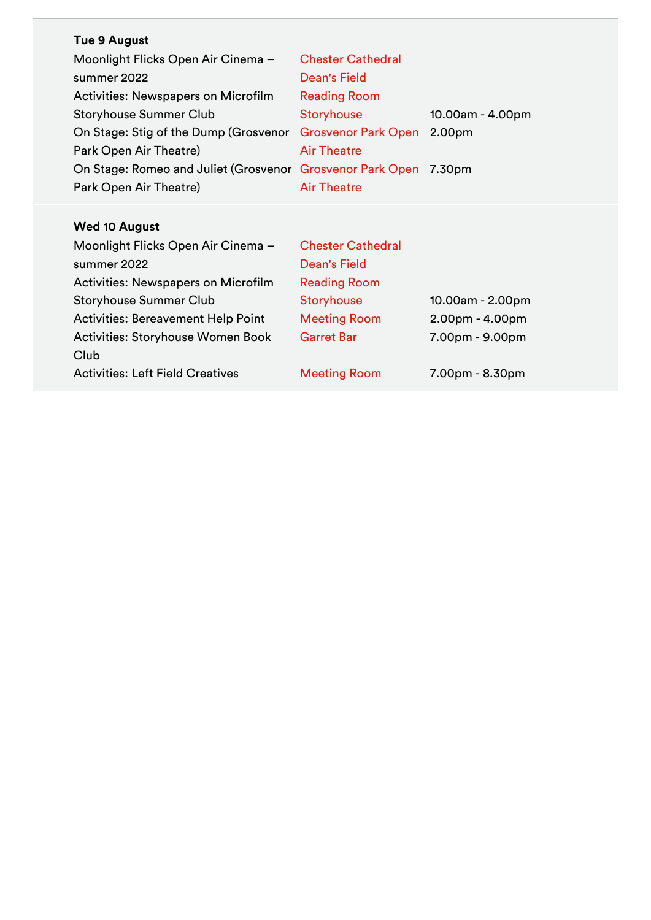| <b>Tue 9 August</b>                                              |                          |                  |
|------------------------------------------------------------------|--------------------------|------------------|
| Moonlight Flicks Open Air Cinema -                               | <b>Chester Cathedral</b> |                  |
| summer 2022                                                      | Dean's Field             |                  |
| Activities: Newspapers on Microfilm                              | <b>Reading Room</b>      |                  |
| <b>Storyhouse Summer Club</b>                                    | <b>Storyhouse</b>        | 10.00am - 4.00pm |
| On Stage: Stig of the Dump (Grosvenor Grosvenor Park Open        |                          | 2.00pm           |
| Park Open Air Theatre)                                           | <b>Air Theatre</b>       |                  |
| On Stage: Romeo and Juliet (Grosvenor Grosvenor Park Open 7.30pm |                          |                  |
| Park Open Air Theatre)                                           | <b>Air Theatre</b>       |                  |

## **Wed 10 August**

| Moonlight Flicks Open Air Cinema -         | <b>Chester Cathedral</b> |                   |
|--------------------------------------------|--------------------------|-------------------|
| summer 2022                                | Dean's Field             |                   |
| <b>Activities: Newspapers on Microfilm</b> | <b>Reading Room</b>      |                   |
| <b>Storyhouse Summer Club</b>              | <b>Storyhouse</b>        | 10.00am - 2.00pm  |
| <b>Activities: Bereavement Help Point</b>  | <b>Meeting Room</b>      | $2.00pm - 4.00pm$ |
| <b>Activities: Storyhouse Women Book</b>   | <b>Garret Bar</b>        | 7.00pm - 9.00pm   |
| Club                                       |                          |                   |
| <b>Activities: Left Field Creatives</b>    | <b>Meeting Room</b>      | $7.00pm - 8.30pm$ |
|                                            |                          |                   |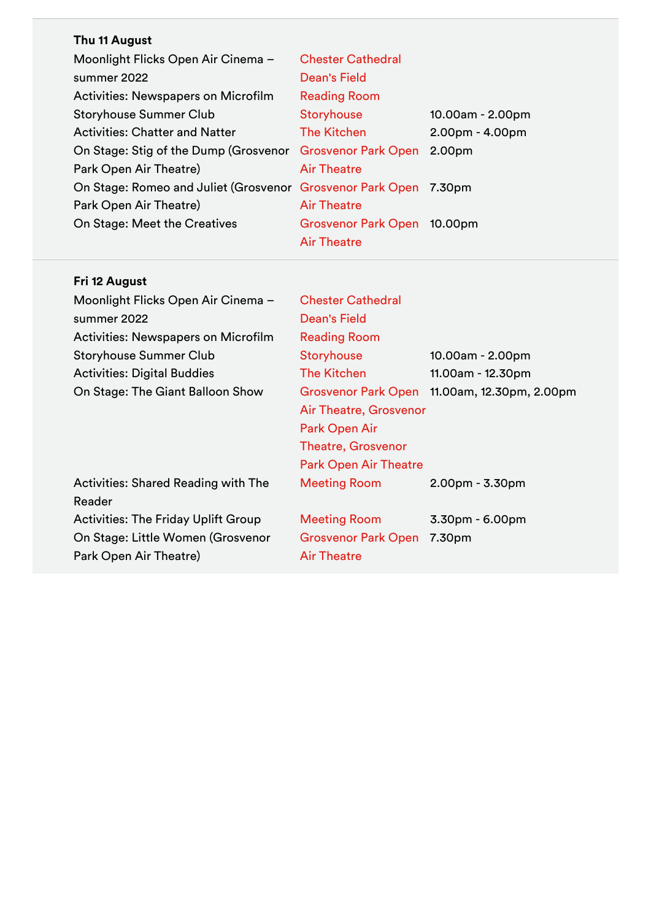## **Thu 11 August**

| Moonlight Flicks Open Air Cinema -                               | <b>Chester Cathedral</b>   |                   |
|------------------------------------------------------------------|----------------------------|-------------------|
| summer 2022                                                      | Dean's Field               |                   |
| <b>Activities: Newspapers on Microfilm</b>                       | <b>Reading Room</b>        |                   |
| <b>Storyhouse Summer Club</b>                                    | Storyhouse                 | 10.00am - 2.00pm  |
| <b>Activities: Chatter and Natter</b>                            | <b>The Kitchen</b>         | $2.00pm - 4.00pm$ |
| On Stage: Stig of the Dump (Grosvenor Grosvenor Park Open        |                            | 2.00pm            |
| Park Open Air Theatre)                                           | <b>Air Theatre</b>         |                   |
| On Stage: Romeo and Juliet (Grosvenor Grosvenor Park Open 7.30pm |                            |                   |
| Park Open Air Theatre)                                           | <b>Air Theatre</b>         |                   |
| On Stage: Meet the Creatives                                     | <b>Grosvenor Park Open</b> | 10.00pm           |
|                                                                  | <b>Air Theatre</b>         |                   |

## **Fri 12 August**

| Moonlight Flicks Open Air Cinema -         | <b>Chester Cathedral</b>     |                          |
|--------------------------------------------|------------------------------|--------------------------|
| summer 2022                                | Dean's Field                 |                          |
| <b>Activities: Newspapers on Microfilm</b> | <b>Reading Room</b>          |                          |
| <b>Storyhouse Summer Club</b>              | Storyhouse                   | 10.00am - 2.00pm         |
| <b>Activities: Digital Buddies</b>         | The Kitchen                  | 11.00am - 12.30pm        |
| On Stage: The Giant Balloon Show           | <b>Grosvenor Park Open</b>   | 11.00am, 12.30pm, 2.00pm |
|                                            | Air Theatre, Grosvenor       |                          |
|                                            | Park Open Air                |                          |
|                                            | <b>Theatre, Grosvenor</b>    |                          |
|                                            | <b>Park Open Air Theatre</b> |                          |
| Activities: Shared Reading with The        | <b>Meeting Room</b>          | $2.00pm - 3.30pm$        |
| Reader                                     |                              |                          |
| <b>Activities: The Friday Uplift Group</b> | <b>Meeting Room</b>          | $3.30pm - 6.00pm$        |
| On Stage: Little Women (Grosvenor          | <b>Grosvenor Park Open</b>   | 7.30pm                   |
| Park Open Air Theatre)                     | <b>Air Theatre</b>           |                          |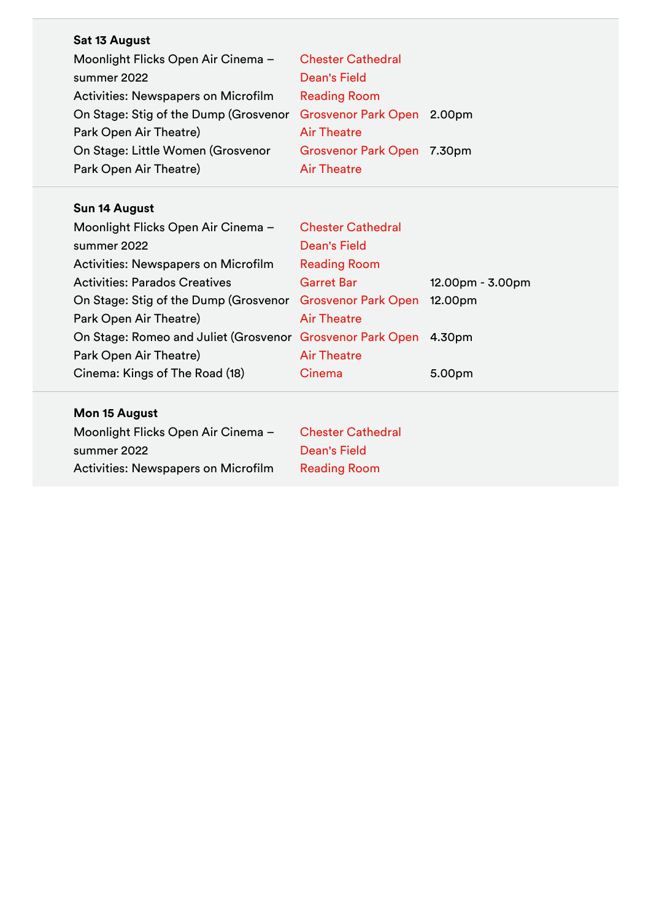| Sat 13 August                              |                            |                  |
|--------------------------------------------|----------------------------|------------------|
| Moonlight Flicks Open Air Cinema -         | <b>Chester Cathedral</b>   |                  |
| summer 2022                                | <b>Dean's Field</b>        |                  |
| <b>Activities: Newspapers on Microfilm</b> | <b>Reading Room</b>        |                  |
| On Stage: Stig of the Dump (Grosvenor      | Grosvenor Park Open 2.00pm |                  |
| Park Open Air Theatre)                     | <b>Air Theatre</b>         |                  |
| On Stage: Little Women (Grosvenor          | Grosvenor Park Open 7.30pm |                  |
| Park Open Air Theatre)                     | <b>Air Theatre</b>         |                  |
|                                            |                            |                  |
| Sun 14 August                              |                            |                  |
| Moonlight Flicks Open Air Cinema -         | <b>Chester Cathedral</b>   |                  |
| summer 2022                                | <b>Dean's Field</b>        |                  |
| <b>Activities: Newspapers on Microfilm</b> | <b>Reading Room</b>        |                  |
| <b>Activities: Parados Creatives</b>       | <b>Garret Bar</b>          | 12.00pm - 3.00pm |
| On Stage: Stig of the Dump (Grosvenor      | <b>Grosvenor Park Open</b> | 12.00pm          |
| Park Open Air Theatre)                     | <b>Air Theatre</b>         |                  |
| On Stage: Romeo and Juliet (Grosvenor      | <b>Grosvenor Park Open</b> | 4.30pm           |
| Park Open Air Theatre)                     | <b>Air Theatre</b>         |                  |
| Cinema: Kings of The Road (18)             | Cinema                     | 5.00pm           |
| Mon 15 August                              |                            |                  |
| Moonlight Flicks Open Air Cinema -         | <b>Chester Cathedral</b>   |                  |
| summer 2022                                | <b>Dean's Field</b>        |                  |
| <b>Activities: Newspapers on Microfilm</b> | <b>Reading Room</b>        |                  |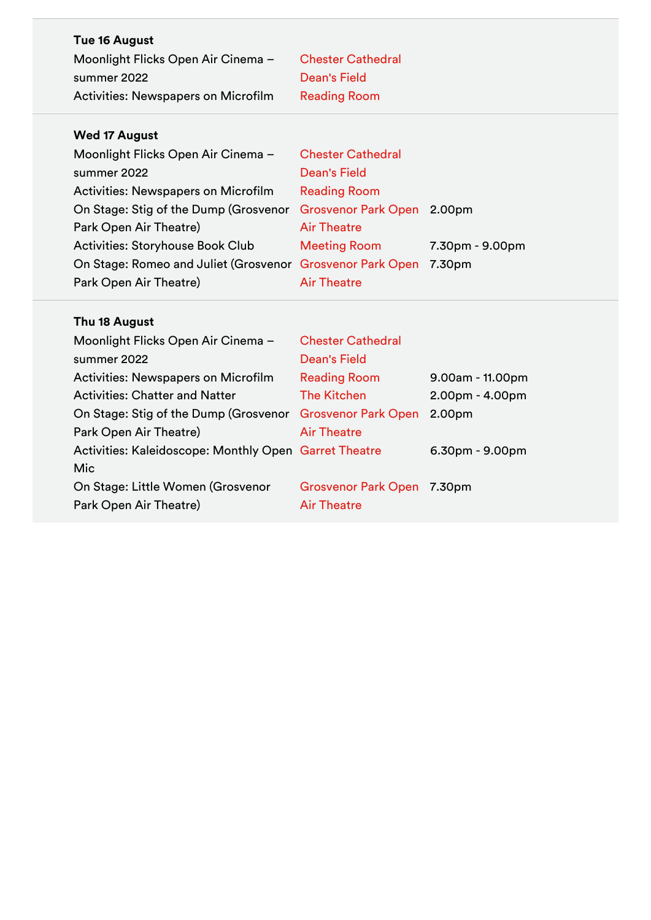| <b>Wed 17 August</b>                |                          |
|-------------------------------------|--------------------------|
| Activities: Newspapers on Microfilm | <b>Reading Room</b>      |
| summer 2022                         | Dean's Field             |
| Moonlight Flicks Open Air Cinema -  | <b>Chester Cathedral</b> |
| Tue 16 August                       |                          |
|                                     |                          |

| Moonlight Flicks Open Air Cinema -                        | <b>Chester Cathedral</b>   |                 |
|-----------------------------------------------------------|----------------------------|-----------------|
| summer 2022                                               | <b>Dean's Field</b>        |                 |
| Activities: Newspapers on Microfilm                       | <b>Reading Room</b>        |                 |
| On Stage: Stig of the Dump (Grosvenor                     | Grosvenor Park Open 2.00pm |                 |
| Park Open Air Theatre)                                    | <b>Air Theatre</b>         |                 |
| <b>Activities: Storyhouse Book Club</b>                   | <b>Meeting Room</b>        | 7.30pm - 9.00pm |
| On Stage: Romeo and Juliet (Grosvenor Grosvenor Park Open |                            | 7.30pm          |
| Park Open Air Theatre)                                    | <b>Air Theatre</b>         |                 |
|                                                           |                            |                 |

## **Thu 18 August**

| <b>Chester Cathedral</b>                              |                   |
|-------------------------------------------------------|-------------------|
| Dean's Field                                          |                   |
| <b>Reading Room</b>                                   | 9.00am - 11.00pm  |
| <b>The Kitchen</b>                                    | $2.00pm - 4.00pm$ |
| <b>Grosvenor Park Open</b>                            | 2.00pm            |
| <b>Air Theatre</b>                                    |                   |
| Activities: Kaleidoscope: Monthly Open Garret Theatre | $6.30pm - 9.00pm$ |
|                                                       |                   |
| <b>Grosvenor Park Open</b>                            | 7.30pm            |
| <b>Air Theatre</b>                                    |                   |
|                                                       |                   |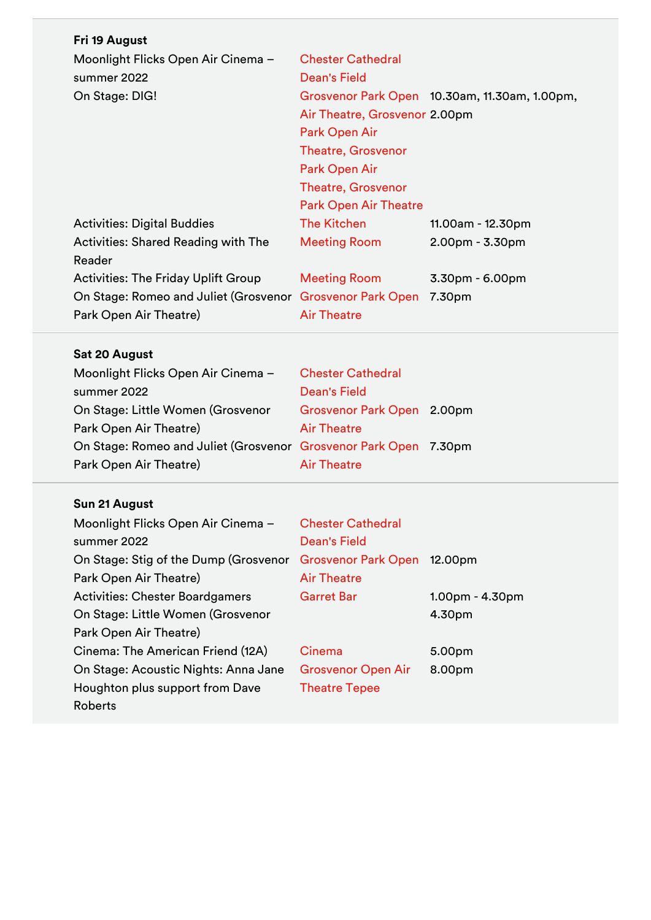| Fri 19 August                              |                               |                                               |
|--------------------------------------------|-------------------------------|-----------------------------------------------|
| Moonlight Flicks Open Air Cinema -         | <b>Chester Cathedral</b>      |                                               |
| summer 2022                                | Dean's Field                  |                                               |
| On Stage: DIG!                             |                               | Grosvenor Park Open 10.30am, 11.30am, 1.00pm, |
|                                            | Air Theatre, Grosvenor 2.00pm |                                               |
|                                            | <b>Park Open Air</b>          |                                               |
|                                            | <b>Theatre, Grosvenor</b>     |                                               |
|                                            | Park Open Air                 |                                               |
|                                            | <b>Theatre, Grosvenor</b>     |                                               |
|                                            | <b>Park Open Air Theatre</b>  |                                               |
| <b>Activities: Digital Buddies</b>         | <b>The Kitchen</b>            | 11.00am - 12.30pm                             |
| <b>Activities: Shared Reading with The</b> | <b>Meeting Room</b>           | $2.00pm - 3.30pm$                             |
| Reader                                     |                               |                                               |
| <b>Activities: The Friday Uplift Group</b> | <b>Meeting Room</b>           | $3.30pm - 6.00pm$                             |
| On Stage: Romeo and Juliet (Grosvenor      | <b>Grosvenor Park Open</b>    | 7.30pm                                        |
| Park Open Air Theatre)                     | <b>Air Theatre</b>            |                                               |

## **Sat 20 August**

| Moonlight Flicks Open Air Cinema -                               | <b>Chester Cathedral</b>   |  |
|------------------------------------------------------------------|----------------------------|--|
| summer 2022                                                      | Dean's Field               |  |
| On Stage: Little Women (Grosvenor                                | Grosvenor Park Open 2.00pm |  |
| Park Open Air Theatre)                                           | <b>Air Theatre</b>         |  |
| On Stage: Romeo and Juliet (Grosvenor Grosvenor Park Open 7.30pm |                            |  |
| Park Open Air Theatre)                                           | <b>Air Theatre</b>         |  |
|                                                                  |                            |  |

# **Sun 21 August**

| Moonlight Flicks Open Air Cinema -     | <b>Chester Cathedral</b>   |                   |
|----------------------------------------|----------------------------|-------------------|
| summer 2022                            | <b>Dean's Field</b>        |                   |
| On Stage: Stig of the Dump (Grosvenor  | <b>Grosvenor Park Open</b> | 12.00pm           |
| Park Open Air Theatre)                 | <b>Air Theatre</b>         |                   |
| <b>Activities: Chester Boardgamers</b> | <b>Garret Bar</b>          | $1.00pm - 4.30pm$ |
| On Stage: Little Women (Grosvenor      |                            | 4.30pm            |
| Park Open Air Theatre)                 |                            |                   |
| Cinema: The American Friend (12A)      | Cinema                     | 5.00pm            |
| On Stage: Acoustic Nights: Anna Jane   | <b>Grosvenor Open Air</b>  | 8.00pm            |
| Houghton plus support from Dave        | <b>Theatre Tepee</b>       |                   |
| Roberts                                |                            |                   |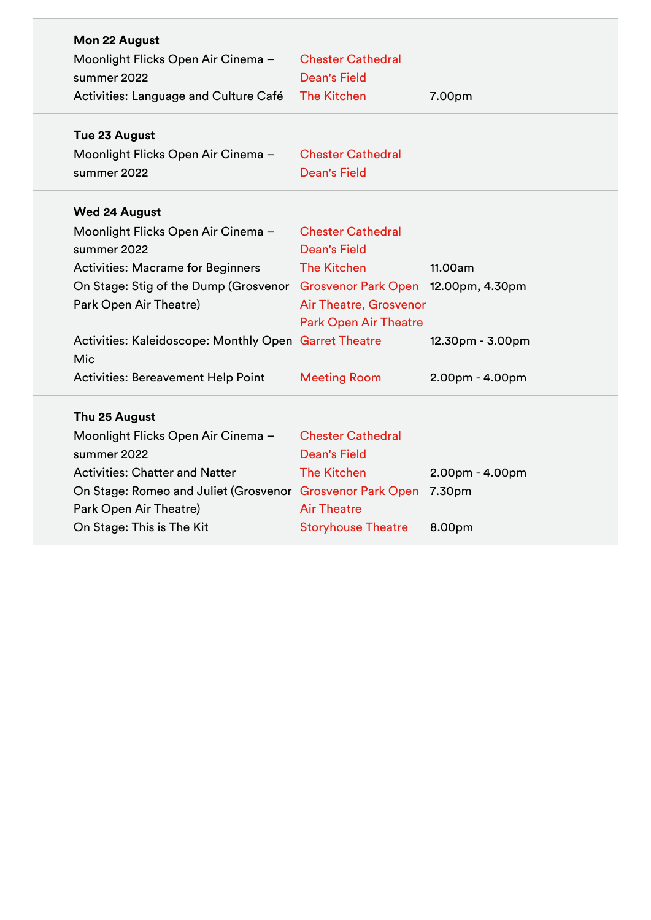| Mon 22 August<br>summer 2022 | Moonlight Flicks Open Air Cinema -                        | <b>Chester Cathedral</b><br><b>Dean's Field</b> |                   |
|------------------------------|-----------------------------------------------------------|-------------------------------------------------|-------------------|
|                              | Activities: Language and Culture Café                     | <b>The Kitchen</b>                              | 7.00pm            |
| Tue 23 August                |                                                           |                                                 |                   |
|                              | Moonlight Flicks Open Air Cinema -                        | <b>Chester Cathedral</b>                        |                   |
| summer 2022                  |                                                           | <b>Dean's Field</b>                             |                   |
| <b>Wed 24 August</b>         |                                                           |                                                 |                   |
|                              | Moonlight Flicks Open Air Cinema -                        | <b>Chester Cathedral</b>                        |                   |
| summer 2022                  |                                                           | <b>Dean's Field</b>                             |                   |
|                              | <b>Activities: Macrame for Beginners</b>                  | <b>The Kitchen</b>                              | 11.00am           |
|                              | On Stage: Stig of the Dump (Grosvenor                     | Grosvenor Park Open 12.00pm, 4.30pm             |                   |
| Park Open Air Theatre)       |                                                           | Air Theatre, Grosvenor                          |                   |
|                              |                                                           | <b>Park Open Air Theatre</b>                    |                   |
|                              | Activities: Kaleidoscope: Monthly Open Garret Theatre     |                                                 | 12.30pm - 3.00pm  |
| Mic                          |                                                           |                                                 |                   |
|                              | <b>Activities: Bereavement Help Point</b>                 | <b>Meeting Room</b>                             | 2.00pm - 4.00pm   |
| Thu 25 August                |                                                           |                                                 |                   |
|                              | Moonlight Flicks Open Air Cinema -                        | <b>Chester Cathedral</b>                        |                   |
| summer 2022                  |                                                           | <b>Dean's Field</b>                             |                   |
|                              | <b>Activities: Chatter and Natter</b>                     | <b>The Kitchen</b>                              | $2.00pm - 4.00pm$ |
|                              | On Stage: Romeo and Juliet (Grosvenor Grosvenor Park Open |                                                 | 7.30pm            |
| Park Open Air Theatre)       |                                                           | <b>Air Theatre</b>                              |                   |
|                              | On Stage: This is The Kit                                 | <b>Storyhouse Theatre</b>                       | 8.00pm            |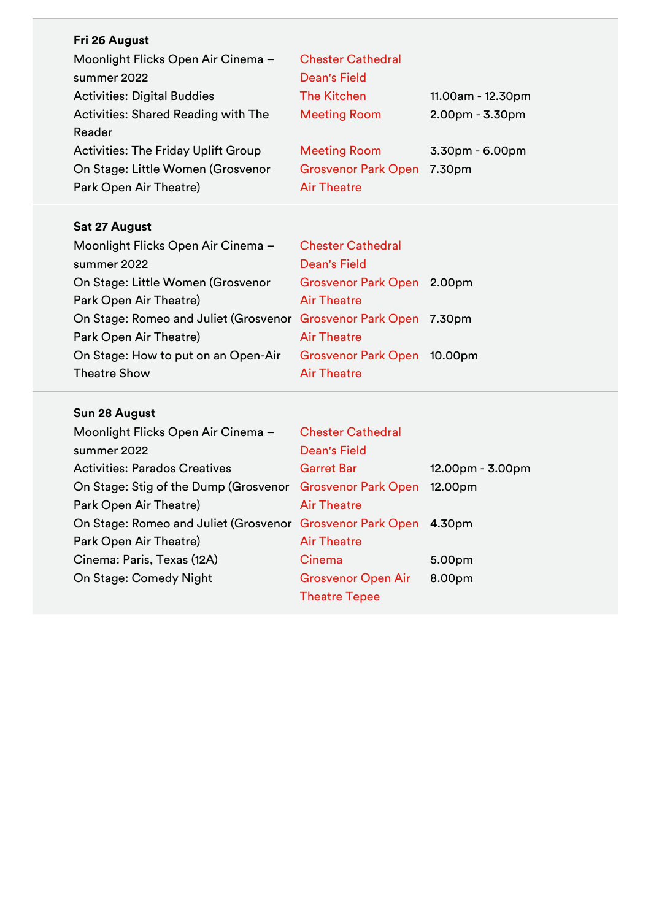| Fri 26 August                              |                            |                   |
|--------------------------------------------|----------------------------|-------------------|
| Moonlight Flicks Open Air Cinema -         | <b>Chester Cathedral</b>   |                   |
| summer 2022                                | <b>Dean's Field</b>        |                   |
| <b>Activities: Digital Buddies</b>         | The Kitchen                | 11.00am - 12.30pm |
| Activities: Shared Reading with The        | <b>Meeting Room</b>        | 2.00pm - 3.30pm   |
| Reader                                     |                            |                   |
| <b>Activities: The Friday Uplift Group</b> | <b>Meeting Room</b>        | $3.30pm - 6.00pm$ |
| On Stage: Little Women (Grosvenor          | <b>Grosvenor Park Open</b> | 7.30pm            |
| Park Open Air Theatre)                     | <b>Air Theatre</b>         |                   |
|                                            |                            |                   |

## **Sat 27 August**

| Moonlight Flicks Open Air Cinema -                               | <b>Chester Cathedral</b>    |  |
|------------------------------------------------------------------|-----------------------------|--|
| summer 2022                                                      | <b>Dean's Field</b>         |  |
| On Stage: Little Women (Grosvenor                                | Grosvenor Park Open 2.00pm  |  |
| Park Open Air Theatre)                                           | <b>Air Theatre</b>          |  |
| On Stage: Romeo and Juliet (Grosvenor Grosvenor Park Open 7.30pm |                             |  |
| Park Open Air Theatre)                                           | <b>Air Theatre</b>          |  |
| On Stage: How to put on an Open-Air                              | Grosvenor Park Open 10.00pm |  |
| <b>Theatre Show</b>                                              | <b>Air Theatre</b>          |  |

## **Sun 28 August**

| Moonlight Flicks Open Air Cinema -                               | <b>Chester Cathedral</b>  |                  |
|------------------------------------------------------------------|---------------------------|------------------|
| summer 2022                                                      | <b>Dean's Field</b>       |                  |
| <b>Activities: Parados Creatives</b>                             | <b>Garret Bar</b>         | 12.00pm - 3.00pm |
| On Stage: Stig of the Dump (Grosvenor Grosvenor Park Open        |                           | 12.00pm          |
| Park Open Air Theatre)                                           | <b>Air Theatre</b>        |                  |
| On Stage: Romeo and Juliet (Grosvenor Grosvenor Park Open 4.30pm |                           |                  |
| Park Open Air Theatre)                                           | <b>Air Theatre</b>        |                  |
| Cinema: Paris, Texas (12A)                                       | Cinema                    | 5.00pm           |
| On Stage: Comedy Night                                           | <b>Grosvenor Open Air</b> | 8.00pm           |
|                                                                  | <b>Theatre Tepee</b>      |                  |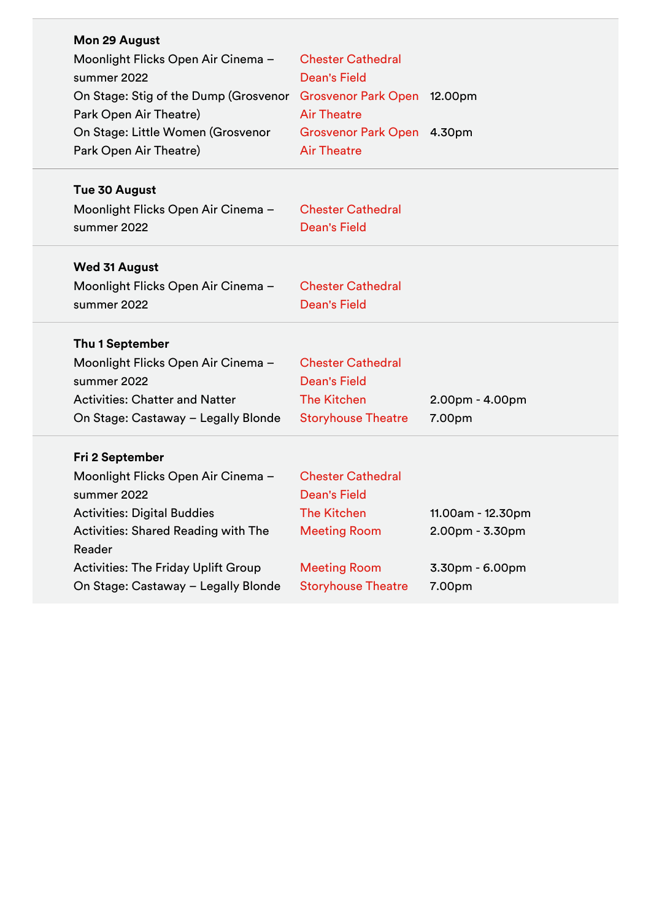| Mon 29 August                                                     |                            |                   |
|-------------------------------------------------------------------|----------------------------|-------------------|
| Moonlight Flicks Open Air Cinema -                                | <b>Chester Cathedral</b>   |                   |
| summer 2022                                                       | <b>Dean's Field</b>        |                   |
| On Stage: Stig of the Dump (Grosvenor Grosvenor Park Open 12.00pm |                            |                   |
| Park Open Air Theatre)                                            | <b>Air Theatre</b>         |                   |
| On Stage: Little Women (Grosvenor                                 | Grosvenor Park Open 4.30pm |                   |
| Park Open Air Theatre)                                            | <b>Air Theatre</b>         |                   |
| Tue 30 August                                                     |                            |                   |
| Moonlight Flicks Open Air Cinema -                                | <b>Chester Cathedral</b>   |                   |
| summer 2022                                                       | <b>Dean's Field</b>        |                   |
|                                                                   |                            |                   |
| <b>Wed 31 August</b>                                              |                            |                   |
| Moonlight Flicks Open Air Cinema -                                | <b>Chester Cathedral</b>   |                   |
| summer 2022                                                       | <b>Dean's Field</b>        |                   |
| Thu 1 September                                                   |                            |                   |
| Moonlight Flicks Open Air Cinema -                                | <b>Chester Cathedral</b>   |                   |
| summer 2022                                                       | <b>Dean's Field</b>        |                   |
| <b>Activities: Chatter and Natter</b>                             | <b>The Kitchen</b>         | $2.00pm - 4.00pm$ |
| On Stage: Castaway - Legally Blonde                               | <b>Storyhouse Theatre</b>  | 7.00pm            |
|                                                                   |                            |                   |
| Fri 2 September                                                   |                            |                   |
| Moonlight Flicks Open Air Cinema -                                | <b>Chester Cathedral</b>   |                   |
| summer 2022                                                       | <b>Dean's Field</b>        |                   |
| <b>Activities: Digital Buddies</b>                                | <b>The Kitchen</b>         | 11.00am - 12.30pm |
| <b>Activities: Shared Reading with The</b>                        | <b>Meeting Room</b>        | 2.00pm - 3.30pm   |
| Reader                                                            |                            |                   |
| <b>Activities: The Friday Uplift Group</b>                        | <b>Meeting Room</b>        | 3.30pm - 6.00pm   |
| On Stage: Castaway - Legally Blonde                               | <b>Storyhouse Theatre</b>  | 7.00pm            |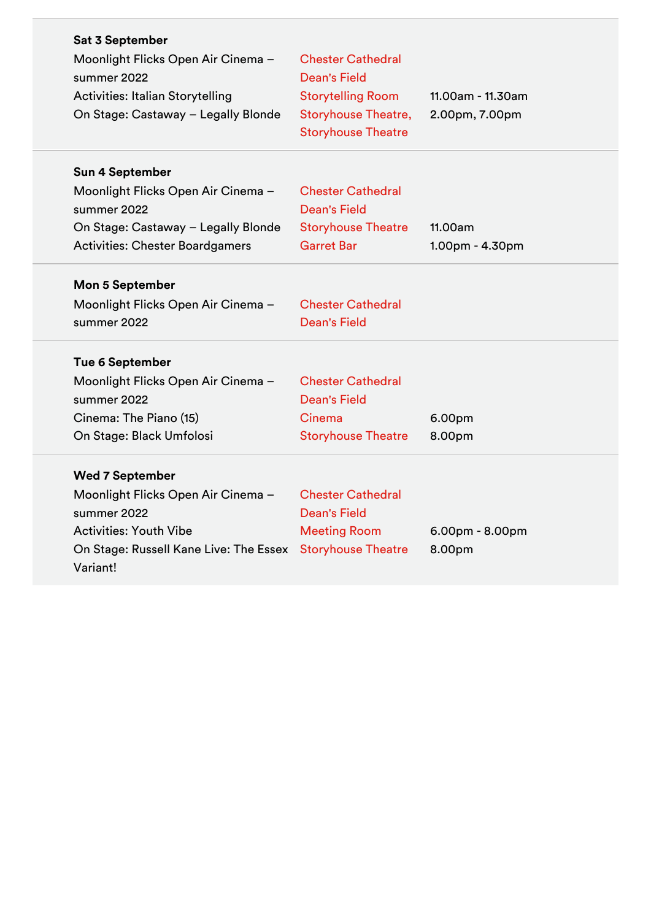| Sat 3 September<br>Moonlight Flicks Open Air Cinema -<br>summer 2022<br><b>Activities: Italian Storytelling</b><br>On Stage: Castaway - Legally Blonde             | <b>Chester Cathedral</b><br><b>Dean's Field</b><br><b>Storytelling Room</b><br><b>Storyhouse Theatre,</b><br><b>Storyhouse Theatre</b> | 11.00am - 11.30am<br>2.00pm, 7.00pm |
|--------------------------------------------------------------------------------------------------------------------------------------------------------------------|----------------------------------------------------------------------------------------------------------------------------------------|-------------------------------------|
| <b>Sun 4 September</b><br>Moonlight Flicks Open Air Cinema -<br>summer 2022<br>On Stage: Castaway - Legally Blonde<br><b>Activities: Chester Boardgamers</b>       | <b>Chester Cathedral</b><br><b>Dean's Field</b><br><b>Storyhouse Theatre</b><br><b>Garret Bar</b>                                      | 11.00am<br>1.00pm - 4.30pm          |
| <b>Mon 5 September</b><br>Moonlight Flicks Open Air Cinema -<br>summer 2022                                                                                        | <b>Chester Cathedral</b><br><b>Dean's Field</b>                                                                                        |                                     |
| <b>Tue 6 September</b><br>Moonlight Flicks Open Air Cinema -<br>summer 2022<br>Cinema: The Piano (15)<br>On Stage: Black Umfolosi                                  | <b>Chester Cathedral</b><br><b>Dean's Field</b><br>Cinema<br><b>Storyhouse Theatre</b>                                                 | 6.00pm<br>8.00pm                    |
| <b>Wed 7 September</b><br>Moonlight Flicks Open Air Cinema -<br>summer 2022<br><b>Activities: Youth Vibe</b><br>On Stage: Russell Kane Live: The Essex<br>Variant! | <b>Chester Cathedral</b><br><b>Dean's Field</b><br><b>Meeting Room</b><br><b>Storyhouse Theatre</b>                                    | $6.00pm - 8.00pm$<br>8.00pm         |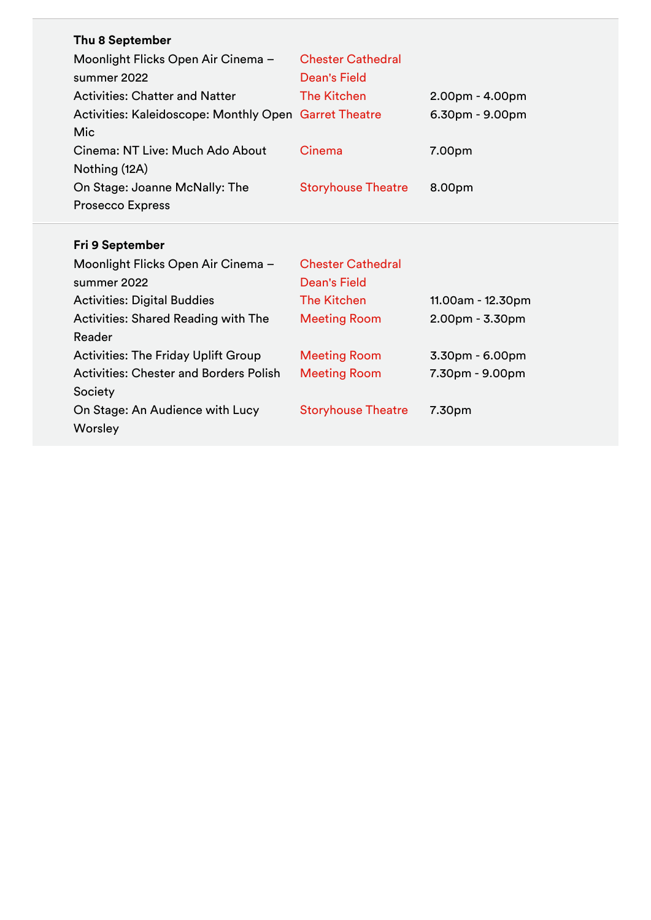| Thu 8 September                                       |                           |                   |
|-------------------------------------------------------|---------------------------|-------------------|
| Moonlight Flicks Open Air Cinema -                    | <b>Chester Cathedral</b>  |                   |
| summer 2022                                           | <b>Dean's Field</b>       |                   |
| <b>Activities: Chatter and Natter</b>                 | <b>The Kitchen</b>        | $2.00pm - 4.00pm$ |
| Activities: Kaleidoscope: Monthly Open Garret Theatre |                           | $6.30pm - 9.00pm$ |
| Mic                                                   |                           |                   |
| Cinema: NT Live: Much Ado About                       | Cinema                    | 7.00pm            |
| Nothing (12A)                                         |                           |                   |
| On Stage: Joanne McNally: The                         | <b>Storyhouse Theatre</b> | 8.00pm            |
| <b>Prosecco Express</b>                               |                           |                   |
|                                                       |                           |                   |
|                                                       |                           |                   |
| Fri 9 September                                       |                           |                   |
| Moonlight Flicks Open Air Cinema -                    | <b>Chester Cathedral</b>  |                   |
| summer 2022                                           | <b>Dean's Field</b>       |                   |
| <b>Activities: Digital Buddies</b>                    | <b>The Kitchen</b>        | 11.00am - 12.30pm |
| <b>Activities: Shared Reading with The</b>            | <b>Meeting Room</b>       | $2.00pm - 3.30pm$ |
| Reader                                                |                           |                   |
| <b>Activities: The Friday Uplift Group</b>            | <b>Meeting Room</b>       | $3.30pm - 6.00pm$ |
| <b>Activities: Chester and Borders Polish</b>         | <b>Meeting Room</b>       | 7.30pm - 9.00pm   |
| Society                                               |                           |                   |
| On Stage: An Audience with Lucy                       | <b>Storyhouse Theatre</b> | 7.30pm            |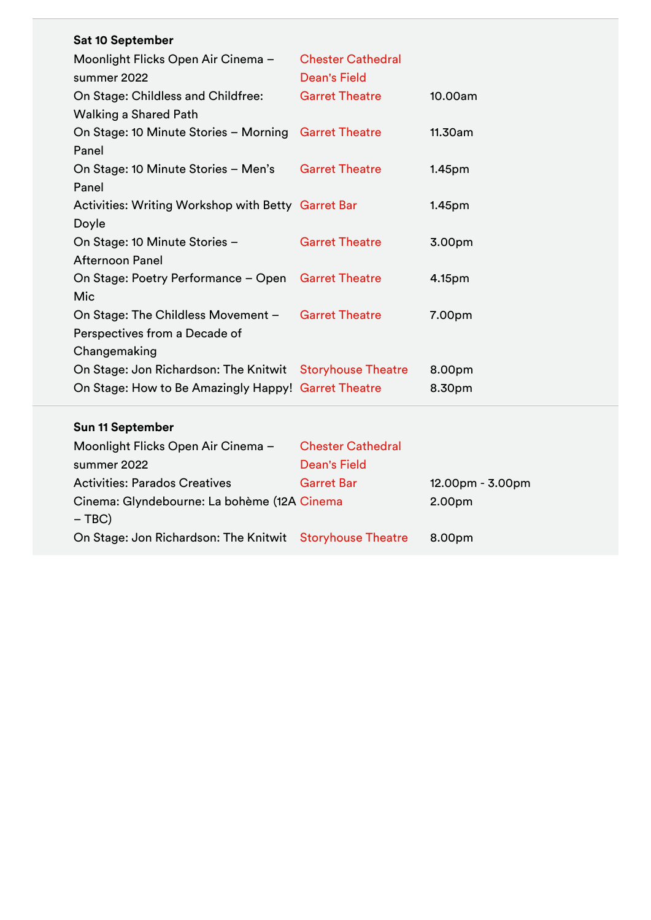| <b>Sat 10 September</b>                                  |                          |                    |
|----------------------------------------------------------|--------------------------|--------------------|
| Moonlight Flicks Open Air Cinema -                       | <b>Chester Cathedral</b> |                    |
| summer 2022                                              | <b>Dean's Field</b>      |                    |
| On Stage: Childless and Childfree:                       | <b>Garret Theatre</b>    | 10.00am            |
| <b>Walking a Shared Path</b>                             |                          |                    |
| On Stage: 10 Minute Stories - Morning                    | <b>Garret Theatre</b>    | 11.30am            |
| Panel                                                    |                          |                    |
| On Stage: 10 Minute Stories - Men's                      | <b>Garret Theatre</b>    | 1.45 <sub>pm</sub> |
| Panel                                                    |                          |                    |
| Activities: Writing Workshop with Betty Garret Bar       |                          | 1.45 <sub>pm</sub> |
| Doyle                                                    |                          |                    |
| On Stage: 10 Minute Stories -                            | <b>Garret Theatre</b>    | 3.00pm             |
| <b>Afternoon Panel</b>                                   |                          |                    |
| On Stage: Poetry Performance - Open Garret Theatre       |                          | 4.15pm             |
| Mic                                                      |                          |                    |
| On Stage: The Childless Movement -                       | <b>Garret Theatre</b>    | 7.00pm             |
| Perspectives from a Decade of                            |                          |                    |
| Changemaking                                             |                          |                    |
| On Stage: Jon Richardson: The Knitwit Storyhouse Theatre |                          | 8.00pm             |
| On Stage: How to Be Amazingly Happy! Garret Theatre      |                          | 8.30pm             |
| <b>Sun 11 September</b>                                  |                          |                    |

| Moonlight Flicks Open Air Cinema -                       | <b>Chester Cathedral</b> |                    |
|----------------------------------------------------------|--------------------------|--------------------|
| summer 2022                                              | <b>Dean's Field</b>      |                    |
| <b>Activities: Parados Creatives</b>                     | <b>Garret Bar</b>        | $12.00pm - 3.00pm$ |
| Cinema: Glyndebourne: La bohème (12A Cinema              |                          | 2.00pm             |
| $-$ TBC)                                                 |                          |                    |
| On Stage: Jon Richardson: The Knitwit Storyhouse Theatre |                          | 8.00pm             |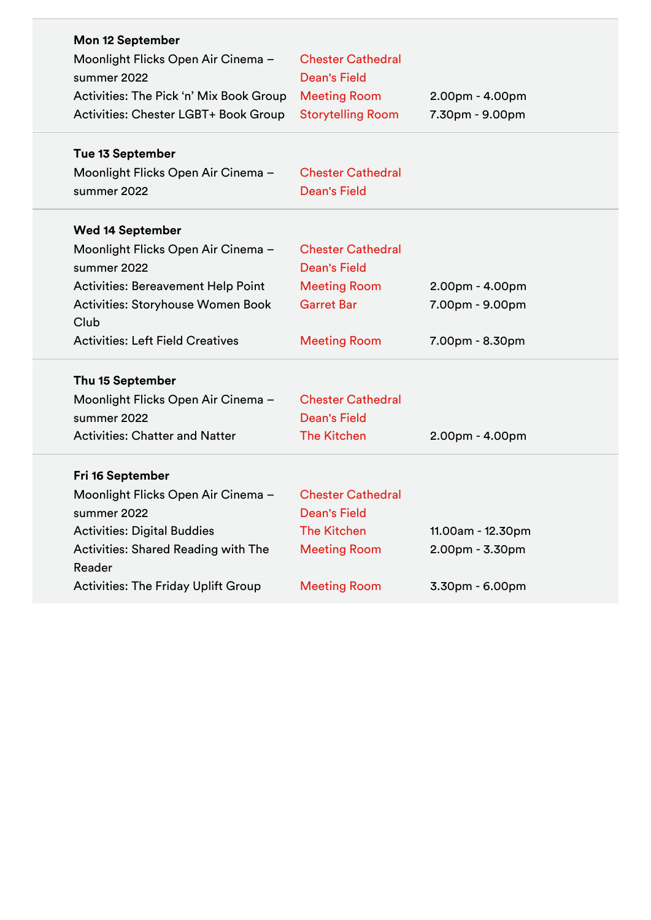| <b>Mon 12 September</b>                    |                                                 |                   |
|--------------------------------------------|-------------------------------------------------|-------------------|
| Moonlight Flicks Open Air Cinema -         | <b>Chester Cathedral</b>                        |                   |
| summer 2022                                | <b>Dean's Field</b>                             |                   |
| Activities: The Pick 'n' Mix Book Group    | <b>Meeting Room</b>                             | $2.00pm - 4.00pm$ |
| Activities: Chester LGBT+ Book Group       | <b>Storytelling Room</b>                        | 7.30pm - 9.00pm   |
|                                            |                                                 |                   |
| <b>Tue 13 September</b>                    |                                                 |                   |
| Moonlight Flicks Open Air Cinema -         | <b>Chester Cathedral</b>                        |                   |
| summer 2022                                | <b>Dean's Field</b>                             |                   |
|                                            |                                                 |                   |
| <b>Wed 14 September</b>                    |                                                 |                   |
| Moonlight Flicks Open Air Cinema -         | <b>Chester Cathedral</b><br><b>Dean's Field</b> |                   |
| summer 2022                                |                                                 |                   |
| Activities: Bereavement Help Point         | <b>Meeting Room</b>                             | 2.00pm - 4.00pm   |
| Activities: Storyhouse Women Book          | <b>Garret Bar</b>                               | 7.00pm - 9.00pm   |
| Club                                       |                                                 |                   |
| <b>Activities: Left Field Creatives</b>    | <b>Meeting Room</b>                             | 7.00pm - 8.30pm   |
| Thu 15 September                           |                                                 |                   |
| Moonlight Flicks Open Air Cinema -         | <b>Chester Cathedral</b>                        |                   |
| summer 2022                                | <b>Dean's Field</b>                             |                   |
| <b>Activities: Chatter and Natter</b>      | <b>The Kitchen</b>                              | $2.00pm - 4.00pm$ |
| Fri 16 September                           |                                                 |                   |
| Moonlight Flicks Open Air Cinema -         | <b>Chester Cathedral</b>                        |                   |
| summer 2022                                | <b>Dean's Field</b>                             |                   |
| <b>Activities: Digital Buddies</b>         | <b>The Kitchen</b>                              |                   |
|                                            |                                                 | 11.00am - 12.30pm |
| <b>Activities: Shared Reading with The</b> | <b>Meeting Room</b>                             | 2.00pm - 3.30pm   |
| Reader                                     |                                                 |                   |
| <b>Activities: The Friday Uplift Group</b> | <b>Meeting Room</b>                             | 3.30pm - 6.00pm   |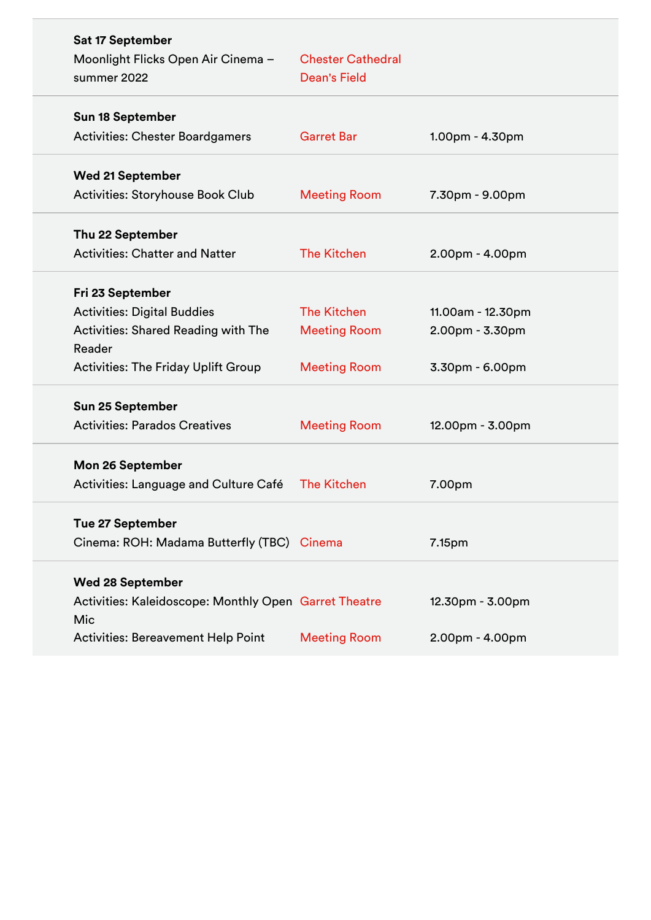| Sat 17 September                                      |                          |                   |
|-------------------------------------------------------|--------------------------|-------------------|
| Moonlight Flicks Open Air Cinema -                    | <b>Chester Cathedral</b> |                   |
| summer 2022                                           | <b>Dean's Field</b>      |                   |
| <b>Sun 18 September</b>                               |                          |                   |
| <b>Activities: Chester Boardgamers</b>                | <b>Garret Bar</b>        | $1.00pm - 4.30pm$ |
| <b>Wed 21 September</b>                               |                          |                   |
| <b>Activities: Storyhouse Book Club</b>               | <b>Meeting Room</b>      | 7.30pm - 9.00pm   |
| Thu 22 September                                      |                          |                   |
| <b>Activities: Chatter and Natter</b>                 | <b>The Kitchen</b>       | 2.00pm - 4.00pm   |
| Fri 23 September                                      |                          |                   |
| <b>Activities: Digital Buddies</b>                    | <b>The Kitchen</b>       | 11.00am - 12.30pm |
| <b>Activities: Shared Reading with The</b><br>Reader  | <b>Meeting Room</b>      | $2.00pm - 3.30pm$ |
| <b>Activities: The Friday Uplift Group</b>            | <b>Meeting Room</b>      | $3.30pm - 6.00pm$ |
| Sun 25 September                                      |                          |                   |
| <b>Activities: Parados Creatives</b>                  | <b>Meeting Room</b>      | 12.00pm - 3.00pm  |
| Mon 26 September                                      |                          |                   |
| Activities: Language and Culture Café                 | <b>The Kitchen</b>       | 7.00pm            |
| <b>Tue 27 September</b>                               |                          |                   |
| Cinema: ROH: Madama Butterfly (TBC) Cinema            |                          | 7.15pm            |
| <b>Wed 28 September</b>                               |                          |                   |
|                                                       |                          |                   |
| Activities: Kaleidoscope: Monthly Open Garret Theatre |                          | 12.30pm - 3.00pm  |
| Mic                                                   |                          |                   |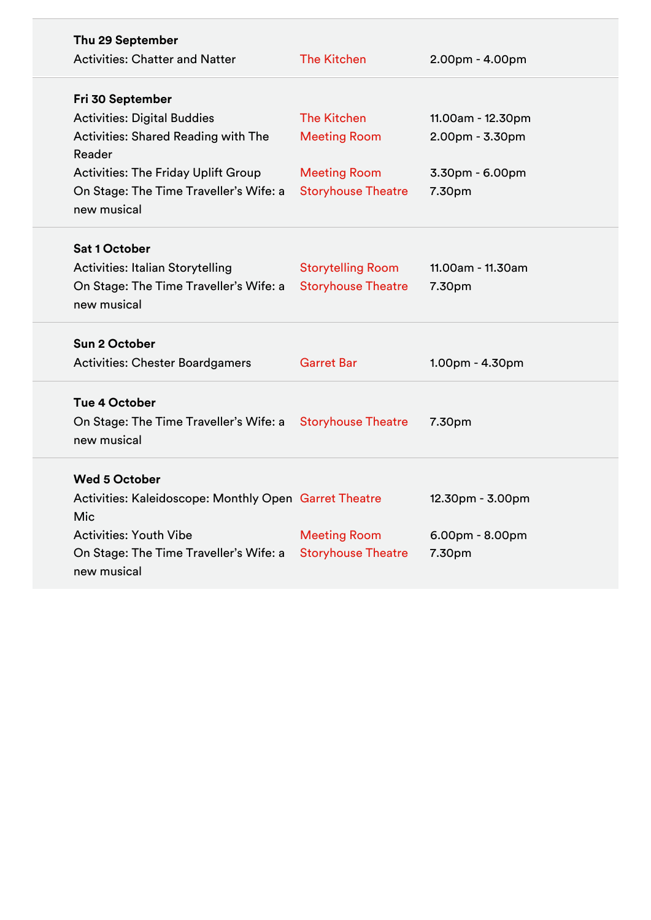| Thu 29 September<br><b>Activities: Chatter and Natter</b>    | <b>The Kitchen</b>        | $2.00pm - 4.00pm$ |
|--------------------------------------------------------------|---------------------------|-------------------|
| Fri 30 September                                             |                           |                   |
| <b>Activities: Digital Buddies</b>                           | <b>The Kitchen</b>        | 11.00am - 12.30pm |
| Activities: Shared Reading with The                          | <b>Meeting Room</b>       | 2.00pm - 3.30pm   |
| Reader                                                       |                           |                   |
| <b>Activities: The Friday Uplift Group</b>                   | <b>Meeting Room</b>       | 3.30pm - 6.00pm   |
| On Stage: The Time Traveller's Wife: a<br>new musical        | <b>Storyhouse Theatre</b> | 7.30pm            |
| <b>Sat 1 October</b>                                         |                           |                   |
| <b>Activities: Italian Storytelling</b>                      | <b>Storytelling Room</b>  | 11.00am - 11.30am |
| On Stage: The Time Traveller's Wife: a<br>new musical        | <b>Storyhouse Theatre</b> | 7.30pm            |
| <b>Sun 2 October</b>                                         |                           |                   |
| <b>Activities: Chester Boardgamers</b>                       | <b>Garret Bar</b>         | 1.00pm - 4.30pm   |
| Tue 4 October                                                |                           |                   |
| On Stage: The Time Traveller's Wife: a<br>new musical        | <b>Storyhouse Theatre</b> | 7.30pm            |
| <b>Wed 5 October</b>                                         |                           |                   |
| Activities: Kaleidoscope: Monthly Open Garret Theatre<br>Mic |                           | 12.30pm - 3.00pm  |
| <b>Activities: Youth Vibe</b>                                | <b>Meeting Room</b>       | $6.00pm - 8.00pm$ |
| On Stage: The Time Traveller's Wife: a<br>new musical        | <b>Storyhouse Theatre</b> | 7.30pm            |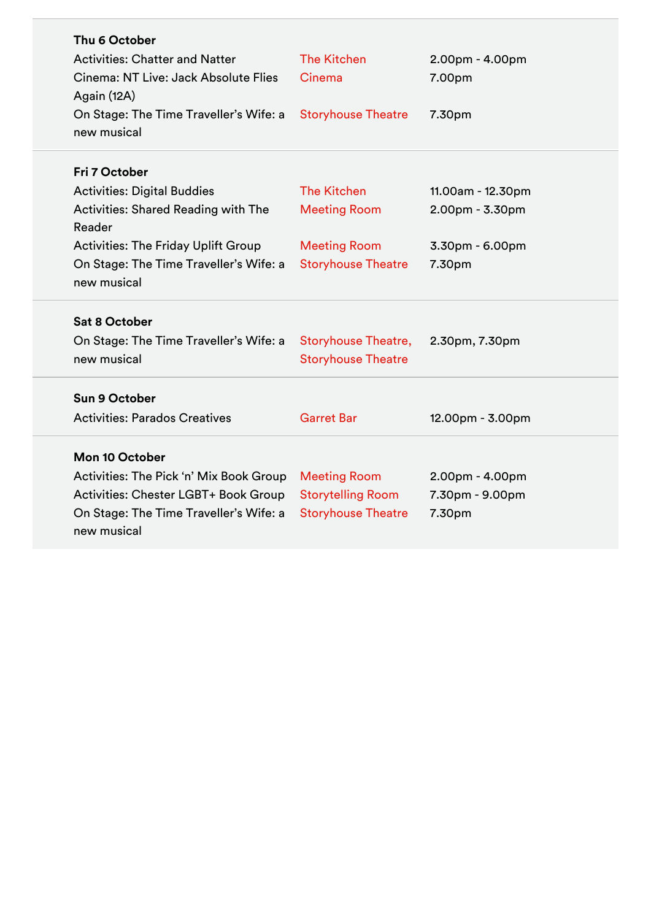| Thu 6 October<br><b>Activities: Chatter and Natter</b><br>Cinema: NT Live: Jack Absolute Flies<br>Again (12A)<br>On Stage: The Time Traveller's Wife: a<br>new musical                                      | <b>The Kitchen</b><br>Cinema<br><b>Storyhouse Theatre</b>                                     | $2.00pm - 4.00pm$<br>7.00pm<br>7.30pm                             |
|-------------------------------------------------------------------------------------------------------------------------------------------------------------------------------------------------------------|-----------------------------------------------------------------------------------------------|-------------------------------------------------------------------|
| Fri 7 October<br><b>Activities: Digital Buddies</b><br>Activities: Shared Reading with The<br>Reader<br><b>Activities: The Friday Uplift Group</b><br>On Stage: The Time Traveller's Wife: a<br>new musical | <b>The Kitchen</b><br><b>Meeting Room</b><br><b>Meeting Room</b><br><b>Storyhouse Theatre</b> | 11.00am - 12.30pm<br>2.00pm - 3.30pm<br>3.30pm - 6.00pm<br>7.30pm |
| <b>Sat 8 October</b><br>On Stage: The Time Traveller's Wife: a<br>new musical                                                                                                                               | <b>Storyhouse Theatre,</b><br><b>Storyhouse Theatre</b>                                       | 2.30pm, 7.30pm                                                    |
| Sun 9 October<br><b>Activities: Parados Creatives</b>                                                                                                                                                       | <b>Garret Bar</b>                                                                             | 12.00pm - 3.00pm                                                  |
| <b>Mon 10 October</b><br>Activities: The Pick 'n' Mix Book Group<br>Activities: Chester LGBT+ Book Group<br>On Stage: The Time Traveller's Wife: a<br>new musical                                           | <b>Meeting Room</b><br><b>Storytelling Room</b><br><b>Storyhouse Theatre</b>                  | $2.00pm - 4.00pm$<br>7.30pm - 9.00pm<br>7.30pm                    |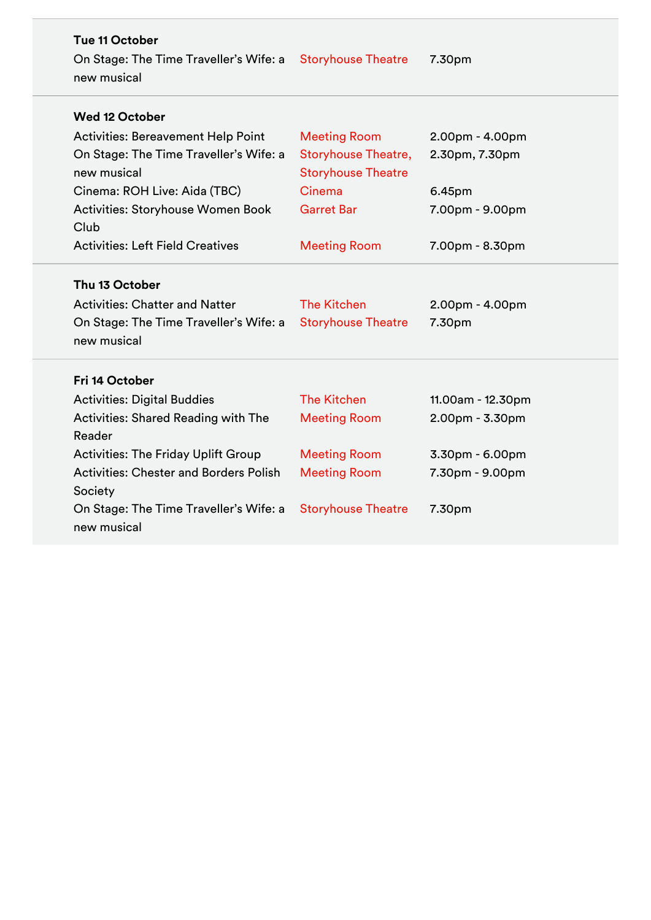| <b>Tue 11 October</b><br>On Stage: The Time Traveller's Wife: a Storyhouse Theatre<br>new musical                |                                                 | 7.30pm                      |
|------------------------------------------------------------------------------------------------------------------|-------------------------------------------------|-----------------------------|
| <b>Wed 12 October</b>                                                                                            |                                                 |                             |
| <b>Activities: Bereavement Help Point</b>                                                                        | <b>Meeting Room</b>                             | 2.00pm - 4.00pm             |
| On Stage: The Time Traveller's Wife: a                                                                           | <b>Storyhouse Theatre,</b>                      | 2.30pm, 7.30pm              |
| new musical                                                                                                      | <b>Storyhouse Theatre</b>                       |                             |
| Cinema: ROH Live: Aida (TBC)                                                                                     | Cinema                                          | 6.45pm                      |
| <b>Activities: Storyhouse Women Book</b>                                                                         | <b>Garret Bar</b>                               | 7.00pm - 9.00pm             |
| Club                                                                                                             |                                                 |                             |
| <b>Activities: Left Field Creatives</b>                                                                          | <b>Meeting Room</b>                             | 7.00pm - 8.30pm             |
| Thu 13 October<br><b>Activities: Chatter and Natter</b><br>On Stage: The Time Traveller's Wife: a<br>new musical | <b>The Kitchen</b><br><b>Storyhouse Theatre</b> | $2.00pm - 4.00pm$<br>7.30pm |
| Fri 14 October                                                                                                   |                                                 |                             |
| <b>Activities: Digital Buddies</b>                                                                               | <b>The Kitchen</b>                              | 11.00am - 12.30pm           |
| <b>Activities: Shared Reading with The</b><br>Reader                                                             | <b>Meeting Room</b>                             | $2.00pm - 3.30pm$           |
| <b>Activities: The Friday Uplift Group</b>                                                                       | <b>Meeting Room</b>                             | 3.30pm - 6.00pm             |
| <b>Activities: Chester and Borders Polish</b><br>Society                                                         | <b>Meeting Room</b>                             | 7.30pm - 9.00pm             |
| On Stage: The Time Traveller's Wife: a<br>new musical                                                            | <b>Storyhouse Theatre</b>                       | 7.30pm                      |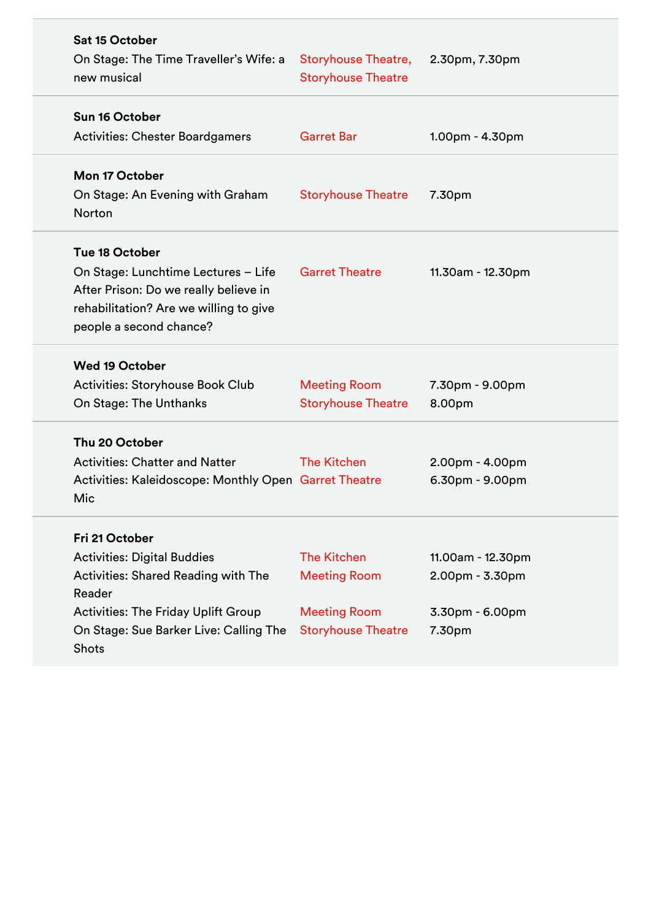| <b>Sat 15 October</b><br>On Stage: The Time Traveller's Wife: a<br>new musical                                                                                                                                       | <b>Storyhouse Theatre,</b><br><b>Storyhouse Theatre</b>                                       | 2.30pm, 7.30pm                                                      |
|----------------------------------------------------------------------------------------------------------------------------------------------------------------------------------------------------------------------|-----------------------------------------------------------------------------------------------|---------------------------------------------------------------------|
| Sun 16 October<br><b>Activities: Chester Boardgamers</b>                                                                                                                                                             | <b>Garret Bar</b>                                                                             | $1.00pm - 4.30pm$                                                   |
| <b>Mon 17 October</b><br>On Stage: An Evening with Graham<br><b>Norton</b>                                                                                                                                           | <b>Storyhouse Theatre</b>                                                                     | 7.30pm                                                              |
| Tue 18 October<br>On Stage: Lunchtime Lectures - Life<br>After Prison: Do we really believe in<br>rehabilitation? Are we willing to give<br>people a second chance?                                                  | <b>Garret Theatre</b>                                                                         | 11.30am - 12.30pm                                                   |
| <b>Wed 19 October</b><br><b>Activities: Storyhouse Book Club</b><br>On Stage: The Unthanks                                                                                                                           | <b>Meeting Room</b><br><b>Storyhouse Theatre</b>                                              | 7.30pm - 9.00pm<br>8.00pm                                           |
| Thu 20 October<br><b>Activities: Chatter and Natter</b><br>Activities: Kaleidoscope: Monthly Open Garret Theatre<br>Mic                                                                                              | <b>The Kitchen</b>                                                                            | $2.00pm - 4.00pm$<br>$6.30pm - 9.00pm$                              |
| Fri 21 October<br><b>Activities: Digital Buddies</b><br><b>Activities: Shared Reading with The</b><br>Reader<br><b>Activities: The Friday Uplift Group</b><br>On Stage: Sue Barker Live: Calling The<br><b>Shots</b> | <b>The Kitchen</b><br><b>Meeting Room</b><br><b>Meeting Room</b><br><b>Storyhouse Theatre</b> | 11.00am - 12.30pm<br>$2.00pm - 3.30pm$<br>3.30pm - 6.00pm<br>7.30pm |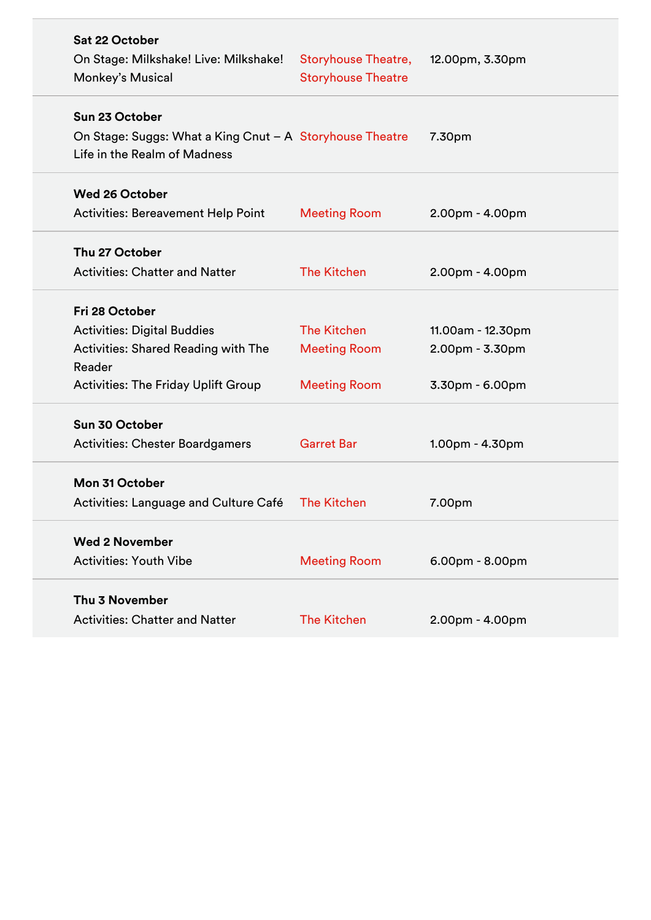| Sat 22 October<br>On Stage: Milkshake! Live: Milkshake!<br>Monkey's Musical                                                                                | <b>Storyhouse Theatre,</b><br><b>Storyhouse Theatre</b>          | 12.00pm, 3.30pm                                           |
|------------------------------------------------------------------------------------------------------------------------------------------------------------|------------------------------------------------------------------|-----------------------------------------------------------|
| Sun 23 October<br>On Stage: Suggs: What a King Cnut - A Storyhouse Theatre<br>Life in the Realm of Madness                                                 |                                                                  | 7.30pm                                                    |
| <b>Wed 26 October</b><br><b>Activities: Bereavement Help Point</b>                                                                                         | <b>Meeting Room</b>                                              | $2.00pm - 4.00pm$                                         |
| Thu 27 October<br><b>Activities: Chatter and Natter</b>                                                                                                    | <b>The Kitchen</b>                                               | 2.00pm - 4.00pm                                           |
| Fri 28 October<br><b>Activities: Digital Buddies</b><br><b>Activities: Shared Reading with The</b><br>Reader<br><b>Activities: The Friday Uplift Group</b> | <b>The Kitchen</b><br><b>Meeting Room</b><br><b>Meeting Room</b> | 11.00am - 12.30pm<br>$2.00pm - 3.30pm$<br>3.30pm - 6.00pm |
| Sun 30 October<br><b>Activities: Chester Boardgamers</b>                                                                                                   | <b>Garret Bar</b>                                                | 1.00pm - 4.30pm                                           |
| Mon 31 October<br>Activities: Language and Culture Café                                                                                                    | <b>The Kitchen</b>                                               | 7.00pm                                                    |
| <b>Wed 2 November</b><br><b>Activities: Youth Vibe</b>                                                                                                     | <b>Meeting Room</b>                                              | $6.00pm - 8.00pm$                                         |
| Thu 3 November<br><b>Activities: Chatter and Natter</b>                                                                                                    | <b>The Kitchen</b>                                               | 2.00pm - 4.00pm                                           |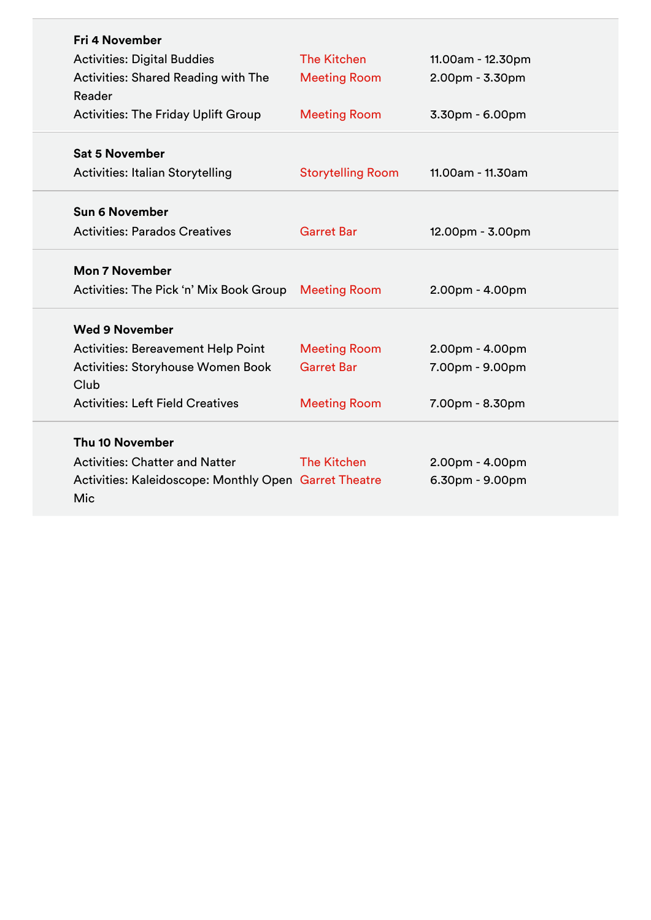| <b>Fri 4 November</b>                                 |                          |                   |
|-------------------------------------------------------|--------------------------|-------------------|
| <b>Activities: Digital Buddies</b>                    | <b>The Kitchen</b>       | 11.00am - 12.30pm |
| <b>Activities: Shared Reading with The</b>            | <b>Meeting Room</b>      | $2.00pm - 3.30pm$ |
| Reader                                                |                          |                   |
| <b>Activities: The Friday Uplift Group</b>            | <b>Meeting Room</b>      | 3.30pm - 6.00pm   |
|                                                       |                          |                   |
| <b>Sat 5 November</b>                                 |                          |                   |
| <b>Activities: Italian Storytelling</b>               | <b>Storytelling Room</b> | 11.00am - 11.30am |
| <b>Sun 6 November</b>                                 |                          |                   |
| <b>Activities: Parados Creatives</b>                  | <b>Garret Bar</b>        |                   |
|                                                       |                          | 12.00pm - 3.00pm  |
| <b>Mon 7 November</b>                                 |                          |                   |
| Activities: The Pick 'n' Mix Book Group               | <b>Meeting Room</b>      | $2.00pm - 4.00pm$ |
|                                                       |                          |                   |
| <b>Wed 9 November</b>                                 |                          |                   |
| <b>Activities: Bereavement Help Point</b>             | <b>Meeting Room</b>      | $2.00pm - 4.00pm$ |
| Activities: Storyhouse Women Book                     | <b>Garret Bar</b>        | 7.00pm - 9.00pm   |
| Club                                                  |                          |                   |
| <b>Activities: Left Field Creatives</b>               | <b>Meeting Room</b>      | 7.00pm - 8.30pm   |
| Thu 10 November                                       |                          |                   |
| <b>Activities: Chatter and Natter</b>                 | <b>The Kitchen</b>       |                   |
|                                                       |                          | 2.00pm - 4.00pm   |
| Activities: Kaleidoscope: Monthly Open Garret Theatre |                          | 6.30pm - 9.00pm   |
|                                                       |                          |                   |
| Mic                                                   |                          |                   |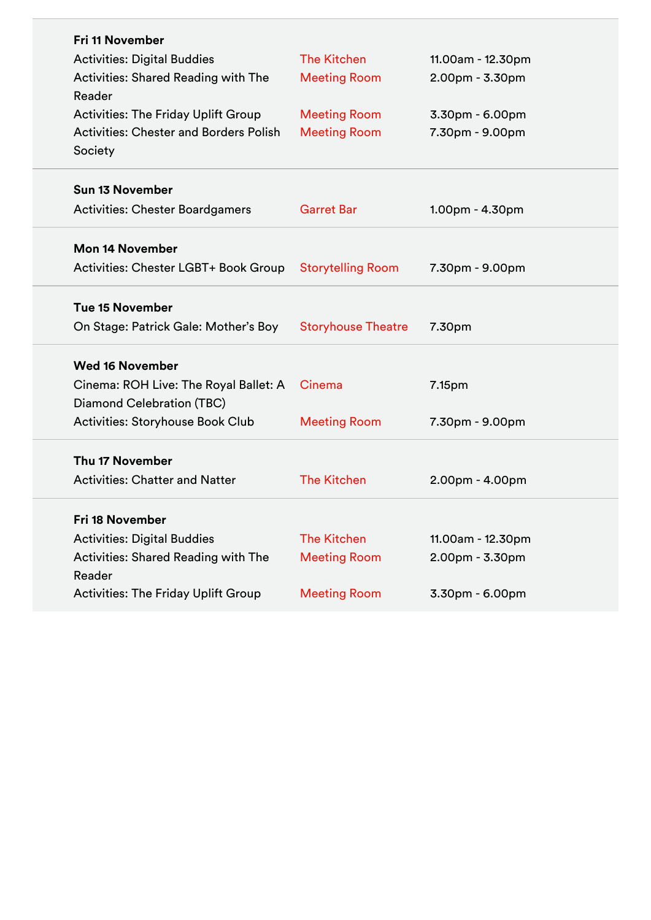| <b>Fri 11 November</b>                        |                           |                   |
|-----------------------------------------------|---------------------------|-------------------|
| <b>Activities: Digital Buddies</b>            | <b>The Kitchen</b>        | 11.00am - 12.30pm |
| Activities: Shared Reading with The           | <b>Meeting Room</b>       | $2.00pm - 3.30pm$ |
| Reader                                        |                           |                   |
| <b>Activities: The Friday Uplift Group</b>    | <b>Meeting Room</b>       | 3.30pm - 6.00pm   |
| <b>Activities: Chester and Borders Polish</b> | <b>Meeting Room</b>       | 7.30pm - 9.00pm   |
| Society                                       |                           |                   |
| <b>Sun 13 November</b>                        |                           |                   |
| <b>Activities: Chester Boardgamers</b>        | <b>Garret Bar</b>         | $1.00pm - 4.30pm$ |
| <b>Mon 14 November</b>                        |                           |                   |
| Activities: Chester LGBT+ Book Group          | <b>Storytelling Room</b>  | 7.30pm - 9.00pm   |
| <b>Tue 15 November</b>                        |                           |                   |
| On Stage: Patrick Gale: Mother's Boy          | <b>Storyhouse Theatre</b> | 7.30pm            |
| <b>Wed 16 November</b>                        |                           |                   |
| Cinema: ROH Live: The Royal Ballet: A         | Cinema                    | 7.15pm            |
| Diamond Celebration (TBC)                     |                           |                   |
| <b>Activities: Storyhouse Book Club</b>       | <b>Meeting Room</b>       | 7.30pm - 9.00pm   |
| Thu 17 November                               |                           |                   |
| <b>Activities: Chatter and Natter</b>         | <b>The Kitchen</b>        | 2.00pm - 4.00pm   |
| Fri 18 November                               |                           |                   |
| <b>Activities: Digital Buddies</b>            | <b>The Kitchen</b>        | 11.00am - 12.30pm |
| <b>Activities: Shared Reading with The</b>    | <b>Meeting Room</b>       | 2.00pm - 3.30pm   |
| Reader                                        |                           |                   |
| <b>Activities: The Friday Uplift Group</b>    | <b>Meeting Room</b>       | 3.30pm - 6.00pm   |
|                                               |                           |                   |